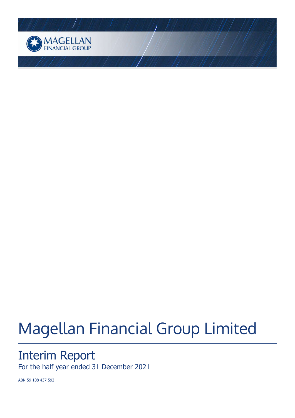

# Magellan Financial Group Limited

# Interim Report

For the half year ended 31 December 2021

ABN 59 108 437 592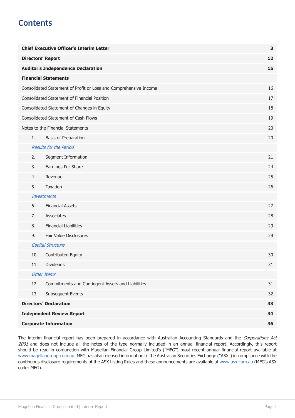# **Contents**

|                    | <b>Chief Executive Officer's Interim Letter</b><br>3 |                                                                   |    |
|--------------------|------------------------------------------------------|-------------------------------------------------------------------|----|
|                    | <b>Directors' Report</b>                             |                                                                   |    |
|                    | <b>Auditor's Independence Declaration</b>            |                                                                   |    |
|                    |                                                      | <b>Financial Statements</b>                                       |    |
|                    |                                                      | Consolidated Statement of Profit or Loss and Comprehensive Income | 16 |
|                    |                                                      | <b>Consolidated Statement of Financial Position</b>               | 17 |
|                    |                                                      | Consolidated Statement of Changes in Equity                       | 18 |
|                    |                                                      | Consolidated Statement of Cash Flows                              | 19 |
|                    |                                                      | Notes to the Financial Statements                                 | 20 |
|                    | 1.                                                   | Basis of Preparation                                              | 20 |
|                    |                                                      | <b>Results for the Period</b>                                     |    |
|                    | 2.                                                   | Segment Information                                               | 21 |
|                    | 3.                                                   | Earnings Per Share                                                | 24 |
|                    | 4.                                                   | Revenue                                                           | 25 |
|                    | 5.                                                   | Taxation                                                          | 26 |
| <b>Investments</b> |                                                      |                                                                   |    |
|                    | 6.                                                   | <b>Financial Assets</b>                                           | 27 |
|                    | 7.                                                   | Associates                                                        | 28 |
|                    | 8.                                                   | <b>Financial Liabilities</b>                                      | 29 |
|                    | 9.                                                   | Fair Value Disclosures                                            | 29 |
|                    |                                                      | <b>Capital Structure</b>                                          |    |
|                    | 10.                                                  | Contributed Equity                                                | 30 |
|                    | 11.                                                  | <b>Dividends</b>                                                  | 31 |
|                    |                                                      | <b>Other Items</b>                                                |    |
|                    | 12.                                                  | Commitments and Contingent Assets and Liabilities                 | 31 |
|                    | 13.                                                  | Subsequent Events                                                 | 32 |
|                    |                                                      | <b>Directors' Declaration</b>                                     | 33 |
|                    | <b>Independent Review Report</b><br>34               |                                                                   |    |
|                    | <b>Corporate Information</b>                         |                                                                   |    |

The interim financial report has been prepared in accordance with Australian Accounting Standards and the Corporations Act 2001 and does not include all the notes of the type normally included in an annual financial report. Accordingly, this report should be read in conjunction with Magellan Financial Group Limited's ("MFG") most recent annual financial report available at [www.magellangroup.com.au.](https://) MFG has also released information to the Australian Securities Exchange ("ASX") in compliance with the continuous disclosure requirements of the ASX Listing Rules and these announcements are available at [www.asx.com.au](https://) (MFG's ASX code: MFG).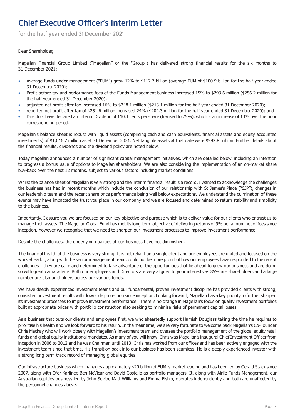<span id="page-2-0"></span>**for the half year ended 31 December 2021**

#### Dear Shareholder,

Magellan Financial Group Limited ("Magellan" or the "Group") has delivered strong financial results for the six months to 31 December 2021:

- Average funds under management ("FUM") grew 12% to \$112.7 billion (average FUM of \$100.9 billion for the half year ended 31 December 2020);
- Profit before tax and performance fees of the Funds Management business increased 15% to \$293.6 million (\$256.2 million for the half year ended 31 December 2020);
- adjusted net profit after tax increased 16% to \$248.1 million (\$213.1 million for the half year ended 31 December 2020);
- reported net profit after tax of \$251.6 million increased 24% (\$202.3 million for the half year ended 31 December 2020); and • Directors have declared an Interim Dividend of 110.1 cents per share (franked to 75%), which is an increase of 13% over the prior corresponding period.

Magellan's balance sheet is robust with liquid assets (comprising cash and cash equivalents, financial assets and equity accounted investments) of \$1,016.7 million as at 31 December 2021. Net tangible assets at that date were \$992.8 million. Further details about the financial results, dividends and the dividend policy are noted below.

Today Magellan announced a number of significant capital management initiatives, which are detailed below, including an intention to progress a bonus issue of options to Magellan shareholders. We are also considering the implementation of an on-market share buy-back over the next 12 months, subject to various factors including market conditions.

Whilst the balance sheet of Magellan is very strong and the interim financial result is a record, I wanted to acknowledge the challenges the business has had in recent months which include the conclusion of our relationship with St James's Place ("SJP"), changes in our leadership team and the recent share price performance being well below expectations. We understand the culmination of these events may have impacted the trust you place in our company and we are focused and determined to return stability and simplicity to the business.

Importantly, I assure you we are focused on our key objective and purpose which is to deliver value for our clients who entrust us to manage their assets. The Magellan Global Fund has met its long-term objective of delivering returns of 9% per annum net of fees since inception, however we recognise that we need to sharpen our investment processes to improve investment performance.

Despite the challenges, the underlying qualities of our business have not diminished.

The financial health of the business is very strong. It is not reliant on a single client and our employees are united and focused on the work ahead. I, along with the senior management team, could not be more proud of how our employees have responded to the recent challenges – they are calm and determined to take advantage of the opportunities that lie ahead to grow our business and are doing so with great camaraderie. Both our employees and Directors are very aligned to your interests as 85% are shareholders and a large number are also unitholders across our various funds.

We have deeply experienced investment teams and our fundamental, proven investment discipline has provided clients with strong, consistent investment results with downside protection since inception. Looking forward, Magellan has a key priority to further sharpen its investment processes to improve investment performance . There is no change in Magellan's focus on quality investment portfolios built at appropriate prices with portfolio construction also seeking to minimise risks of permanent capital losses.

As a business that puts our clients and employees first, we wholeheartedly support Hamish Douglass taking the time he requires to prioritise his health and we look forward to his return. In the meantime, we are very fortunate to welcome back Magellan's Co-Founder Chris Mackay who will work closely with Magellan's investment team and oversee the portfolio management of the global equity retail funds and global equity institutional mandates. As many of you will know, Chris was Magellan's inaugural Chief Investment Officer from inception in 2006 to 2012 and he was Chairman until 2013. Chris has worked from our offices and has been actively engaged with the investment team since that time. His transition back into our business has been seamless. He is a deeply experienced investor with a strong long term track record of managing global equities.

Our infrastructure business which manages approximately \$20 billion of FUM is market leading and has been led by Gerald Stack since 2007, along with Ofer Karliner, Ben McVicar and David Costello as portfolio managers. It, along with Airlie Funds Management, our Australian equities business led by John Sevior, Matt Williams and Emma Fisher, operates independently and both are unaffected by the personnel changes above.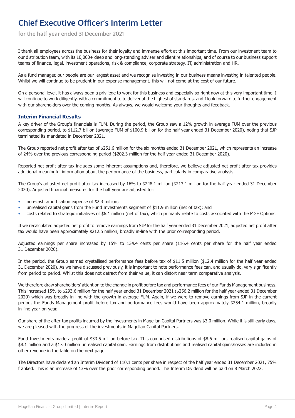**for the half year ended 31 December 2021**

I thank all employees across the business for their loyalty and immense effort at this important time. From our investment team to our distribution team, with its 10,000+ deep and long-standing adviser and client relationships, and of course to our business support teams of finance, legal, investment operations, risk & compliance, corporate strategy, IT, administration and HR.

As a fund manager, our people are our largest asset and we recognise investing in our business means investing in talented people. Whilst we will continue to be prudent in our expense management, this will not come at the cost of our future.

On a personal level, it has always been a privilege to work for this business and especially so right now at this very important time. I will continue to work diligently, with a commitment to to deliver at the highest of standards, and I look forward to further engagement with our shareholders over the coming months. As always, we would welcome your thoughts and feedback.

#### **Interim Financial Results**

A key driver of the Group's financials is FUM. During the period, the Group saw a 12% growth in average FUM over the previous corresponding period, to \$112.7 billion (average FUM of \$100.9 billion for the half year ended 31 December 2020), noting that SJP terminated its mandated in December 2021.

The Group reported net profit after tax of \$251.6 million for the six months ended 31 December 2021, which represents an increase of 24% over the previous corresponding period (\$202.3 million for the half year ended 31 December 2020).

Reported net profit after tax includes some inherent assumptions and, therefore, we believe adjusted net profit after tax provides additional meaningful information about the performance of the business, particularly in comparative analysis.

The Group's adjusted net profit after tax increased by 16% to \$248.1 million (\$213.1 million for the half year ended 31 December 2020). Adjusted financial measures for the half year are adjusted for:

- non-cash amortisation expense of \$2.3 million;
- unrealised capital gains from the Fund Investments segment of \$11.9 million (net of tax); and
- costs related to strategic initiatives of \$6.1 million (net of tax), which primarily relate to costs associated with the MGF Options.

If we recalculated adjusted net profit to remove earnings from SJP for the half year ended 31 December 2021, adjusted net profit after tax would have been approximately \$212.5 million, broadly in-line with the prior corresponding period.

Adjusted earnings per share increased by 15% to 134.4 cents per share (116.4 cents per share for the half year ended 31 December 2020).

In the period, the Group earned crystallised performance fees before tax of \$11.5 million (\$12.4 million for the half year ended 31 December 2020). As we have discussed previously, it is important to note performance fees can, and usually do, vary significantly from period to period. Whilst this does not detract from their value, it can distort near term comparative analysis.

We therefore draw shareholders' attention to the change in profit before tax and performance fees of our Funds Management business. This increased 15% to \$293.6 million for the half year ended 31 December 2021 (\$256.2 million for the half year ended 31 December 2020) which was broadly in line with the growth in average FUM. Again, if we were to remove earnings from SJP in the current period, the Funds Management profit before tax and performance fees would have been approximately \$254.1 million, broadly in-line year-on-year.

Our share of the after-tax profits incurred by the investments in Magellan Capital Partners was \$3.0 million. While it is still early days, we are pleased with the progress of the investments in Magellan Capital Partners.

Fund Investments made a profit of \$33.5 million before tax. This comprised distributions of \$8.6 million, realised capital gains of \$8.1 million and a \$17.0 million unrealised capital gain. Earnings from distributions and realised capital gains/losses are included in other revenue in the table on the next page.

The Directors have declared an Interim Dividend of 110.1 cents per share in respect of the half year ended 31 December 2021, 75% franked. This is an increase of 13% over the prior corresponding period. The Interim Dividend will be paid on 8 March 2022.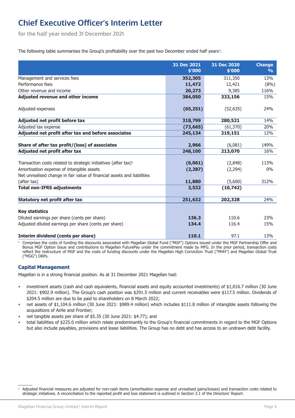**for the half year ended 31 December 2021**

The following table summarises the Group's profitability over the past two December ended half years<sup>1</sup>:

|                                                                             | 31 Dec 2021 | 31 Dec 2020 |                                |
|-----------------------------------------------------------------------------|-------------|-------------|--------------------------------|
|                                                                             | \$'000      | \$'000      | <b>Change</b><br>$\frac{1}{2}$ |
|                                                                             |             |             |                                |
| Management and services fees                                                | 352,305     | 311,350     | 13%                            |
| Performance fees                                                            | 11,472      | 12,421      | (8%)                           |
| Other revenue and income                                                    | 20,273      | 9,385       | 116%                           |
| Adjusted revenue and other income                                           | 384,050     | 333,156     | 15%                            |
| Adjusted expenses                                                           | (65, 251)   | (52, 635)   | 24%                            |
| Adjusted net profit before tax                                              | 318,799     | 280,521     | 14%                            |
| Adjusted tax expense                                                        | (73, 665)   | (61, 370)   | 20%                            |
| Adjusted net profit after tax and before associates                         | 245,134     | 219,151     | 12%                            |
| Share of after tax profit/(loss) of associates                              | 2,966       | (6,081)     | 149%                           |
| Adjusted net profit after tax                                               | 248,100     | 213,070     | 16%                            |
|                                                                             |             |             |                                |
| Transaction costs related to strategic initiatives (after tax) <sup>1</sup> | (6,061)     | (2,848)     | 113%                           |
| Amortisation expense of intangible assets                                   | (2, 287)    | (2, 294)    | $0\%$                          |
| Net unrealised change in fair value of financial assets and liabilities     |             |             |                                |
| (after tax)                                                                 | 11,880      | (5,600)     | 312%                           |
| <b>Total non-IFRS adjustments</b>                                           | 3,532       | (10, 742)   |                                |
| <b>Statutory net profit after tax</b>                                       | 251,632     | 202,328     | 24%                            |
|                                                                             |             |             |                                |
| <b>Key statistics</b>                                                       |             |             |                                |
| Diluted earnings per share (cents per share)                                | 136.3       | 110.6       | 23%                            |
| Adjusted diluted earnings per share (cents per share)                       | 134.4       | 116.4       | 15%                            |
| Interim dividend (cents per share)                                          | 110.1       | 97.1        | 13%                            |

<sup>1</sup> Comprises the costs of funding the discounts associated with Magellan Global Fund ("MGF") Options issued under the MGF Partnership Offer and Bonus MGF Option Issue and contributions to Magellan FuturePay under the commitment made by MFG. In the prior period, transaction costs reflect the restructure of MGF and the costs of funding discounts under the Magellan High Conviction Trust ("MHH") and Magellan Global Trust ("MGG") DRPs.

### **Capital Management**

Magellan is in a strong financial position. As at 31 December 2021 Magellan had:

- investment assets (cash and cash equivalents, financial assets and equity accounted investments) of \$1,016.7 million (30 June 2021: \$902.9 million). The Group's cash position was \$291.5 million and current receivables were \$117.5 million. Dividends of \$204.5 million are due to be paid to shareholders on 8 March 2022;
- net assets of \$1,104.6 million (30 June 2021: \$989.4 million) which includes \$111.8 million of intangible assets following the acquisitions of Airlie and Frontier;
- net tangible assets per share of \$5.35 (30 June 2021: \$4.77); and
- total liabilities of \$225.0 million which relate predominantly to the Group's financial commitments in regard to the MGF Options but also include payables, provisions and lease liabilities. The Group has no debt and has access to an undrawn debt facility.

<sup>1</sup> Adjusted financial measures are adjusted for non-cash items (amortisation expense and unrealised gains/losses) and transaction costs related to strategic initiatives. A reconciliation to the reported profit and loss statement is outlined in Section 3.1 of the Directors' Report.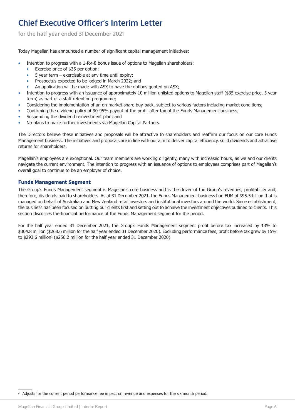**for the half year ended 31 December 2021**

Today Magellan has announced a number of significant capital management initiatives:

- Intention to progress with a 1-for-8 bonus issue of options to Magellan shareholders:
	- Exercise price of \$35 per option;
	- 5 year term exercisable at any time until expiry;
	- Prospectus expected to be lodged in March 2022; and
	- An application will be made with ASX to have the options quoted on ASX;
- Intention to progress with an issuance of approximately 10 million unlisted options to Magellan staff (\$35 exercise price, 5 year term) as part of a staff retention programme;
- Considering the implementation of an on-market share buy-back, subject to various factors including market conditions;
- Confirming the dividend policy of 90-95% payout of the profit after tax of the Funds Management business;
- Suspending the dividend reinvestment plan; and
- No plans to make further investments via Magellan Capital Partners.

The Directors believe these initiatives and proposals will be attractive to shareholders and reaffirm our focus on our core Funds Management business. The initiatives and proposals are in line with our aim to deliver capital efficiency, solid dividends and attractive returns for shareholders.

Magellan's employees are exceptional. Our team members are working diligently, many with increased hours, as we and our clients navigate the current environment. The intention to progress with an issuance of options to employees comprises part of Magellan's overall goal to continue to be an employer of choice.

### **Funds Management Segment**

The Group's Funds Management segment is Magellan's core business and is the driver of the Group's revenues, profitability and, therefore, dividends paid to shareholders. As at 31 December 2021, the Funds Management business had FUM of \$95.5 billion that is managed on behalf of Australian and New Zealand retail investors and institutional investors around the world. Since establishment, the business has been focused on putting our clients first and setting out to achieve the investment objectives outlined to clients. This section discusses the financial performance of the Funds Management segment for the period.

For the half year ended 31 December 2021, the Group's Funds Management segment profit before tax increased by 13% to \$304.8 million (\$268.6 million for the half year ended 31 December 2020). Excluding performance fees, profit before tax grew by 15% to \$293.6 million<sup>2</sup> (\$256.2 million for the half year ended 31 December 2020).

<sup>2</sup> Adjusts for the current period performance fee impact on revenue and expenses for the six month period.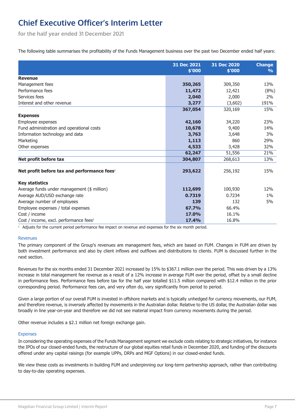**for the half year ended 31 December 2021**

The following table summarises the profitability of the Funds Management business over the past two December ended half years:

|                                                         | 31 Dec 2021<br>\$'000 | 31 Dec 2020<br>\$'000 | <b>Change</b><br>$\frac{9}{6}$ |
|---------------------------------------------------------|-----------------------|-----------------------|--------------------------------|
| <b>Revenue</b>                                          |                       |                       |                                |
| Management fees                                         | 350,265               | 309,350               | 13%                            |
| Performance fees                                        | 11,472                | 12,421                | (8%)                           |
| Services fees                                           | 2,040                 | 2,000                 | 2%                             |
| Interest and other revenue                              | 3,277                 | (3,602)               | 191%                           |
|                                                         | 367,054               | 320,169               | 15%                            |
| <b>Expenses</b>                                         |                       |                       |                                |
| Employee expenses                                       | 42,160                | 34,220                | 23%                            |
| Fund administration and operational costs               | 10,678                | 9,400                 | 14%                            |
| Information technology and data                         | 3,763                 | 3,648                 | 3%                             |
| Marketing                                               | 1,113                 | 860                   | 29%                            |
| Other expenses                                          | 4,533                 | 3,428                 | 32%                            |
|                                                         | 62,247                | 51,556                | 21%                            |
| Net profit before tax                                   | 304,807               | 268,613               | 13%                            |
| Net profit before tax and performance fees <sup>1</sup> | 293,622               | 256,192               | 15%                            |
| <b>Key statistics</b>                                   |                       |                       |                                |
| Average funds under management (\$ million)             | 112,699               | 100,930               | 12%                            |
| Average AUD/USD exchange rate                           | 0.7319                | 0.7234                | $1\%$                          |
| Average number of employees                             | 139                   | 132                   | 5%                             |
| Employee expenses / total expenses                      | 67.7%                 | 66.4%                 |                                |
| Cost / income                                           | 17.0%                 | 16.1%                 |                                |
| Cost / income, excl. performance fees <sup>1</sup>      | 17.4%                 | 16.8%                 |                                |

<sup>1</sup> Adjusts for the current period performance fee impact on revenue and expenses for the six month period.

#### Revenues

The primary component of the Group's revenues are management fees, which are based on FUM. Changes in FUM are driven by both investment performance and also by client inflows and outflows and distributions to clients. FUM is discussed further in the next section.

Revenues for the six months ended 31 December 2021 increased by 15% to \$367.1 million over the period. This was driven by a 13% increase in total management fee revenue as a result of a 12% increase in average FUM over the period, offset by a small decline in performance fees. Performance fees before tax for the half year totalled \$11.5 million compared with \$12.4 million in the prior corresponding period. Performance fees can, and very often do, vary significantly from period to period.

Given a large portion of our overall FUM is invested in offshore markets and is typically unhedged for currency movements, our FUM, and therefore revenue, is inversely affected by movements in the Australian dollar. Relative to the US dollar, the Australian dollar was broadly in line year-on-year and therefore we did not see material impact from currency movements during the period.

Other revenue includes a \$2.1 million net foreign exchange gain.

#### Expenses

In considering the operating expenses of the Funds Management segment we exclude costs relating to strategic initiatives, for instance the IPOs of our closed-ended funds, the restructure of our global equities retail funds in December 2020, and funding of the discounts offered under any capital raisings (for example UPPs, DRPs and MGF Options) in our closed-ended funds.

We view these costs as investments in building FUM and underpinning our long-term partnership approach, rather than contributing to day-to-day operating expenses.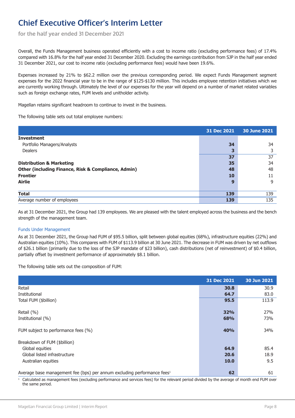**for the half year ended 31 December 2021**

Overall, the Funds Management business operated efficiently with a cost to income ratio (excluding performance fees) of 17.4% compared with 16.8% for the half year ended 31 December 2020. Excluding the earnings contribution from SJP in the half year ended 31 December 2021, our cost to income ratio (excluding performance fees) would have been 19.6%.

Expenses increased by 21% to \$62.2 million over the previous corresponding period. We expect Funds Management segment expenses for the 2022 financial year to be in the range of \$125-\$130 million. This includes employee retention initiatives which we are currently working through. Ultimately the level of our expenses for the year will depend on a number of market related variables such as foreign exchange rates, FUM levels and unitholder activity.

Magellan retains significant headroom to continue to invest in the business.

The following table sets out total employee numbers:

|                                                                | 31 Dec 2021 | 30 June 2021 |
|----------------------------------------------------------------|-------------|--------------|
| <b>Investment</b>                                              |             |              |
| Portfolio Managers/Analysts                                    | 34          | 34           |
| <b>Dealers</b>                                                 | 3           |              |
|                                                                | 37          | 37           |
| <b>Distribution &amp; Marketing</b>                            | 35          | 34           |
| <b>Other (including Finance, Risk &amp; Compliance, Admin)</b> | 48          | 48           |
| <b>Frontier</b>                                                | 10          | 11           |
| <b>Airlie</b>                                                  | 9           | 9            |
|                                                                |             |              |
| <b>Total</b>                                                   | 139         | 139          |
| Average number of employees                                    | 139         | 135          |

As at 31 December 2021, the Group had 139 employees. We are pleased with the talent employed across the business and the bench strength of the management team.

#### Funds Under Management

As at 31 December 2021, the Group had FUM of \$95.5 billion, split between global equities (68%), infrastructure equities (22%) and Australian equities (10%). This compares with FUM of \$113.9 billion at 30 June 2021. The decrease in FUM was driven by net outflows of \$26.1 billion (primarily due to the loss of the SJP mandate of \$23 billion), cash distributions (net of reinvestment) of \$0.4 billion, partially offset by investment performance of approximately \$8.1 billion.

The following table sets out the composition of FUM:

|                                                                                     | 31 Dec 2021 | 30 Jun 2021 |
|-------------------------------------------------------------------------------------|-------------|-------------|
| Retail                                                                              | 30.8        | 30.9        |
| Institutional                                                                       | 64.7        | 83.0        |
| Total FUM (\$billion)                                                               | 95.5        | 113.9       |
|                                                                                     |             |             |
| Retail (%)                                                                          | 32%         | 27%         |
| Institutional (%)                                                                   | 68%         | 73%         |
|                                                                                     |             |             |
| FUM subject to performance fees (%)                                                 | 40%         | 34%         |
|                                                                                     |             |             |
| Breakdown of FUM (\$billion)                                                        |             |             |
| Global equities                                                                     | 64.9        | 85.4        |
| Global listed infrastructure                                                        | 20.6        | 18.9        |
| Australian equities                                                                 | <b>10.0</b> | 9.5         |
|                                                                                     |             |             |
| Average base management fee (bps) per annum excluding performance fees <sup>1</sup> | 62          | 61          |

<sup>1</sup> Calculated as management fees (excluding performance and services fees) for the relevant period divided by the average of month end FUM over the same period.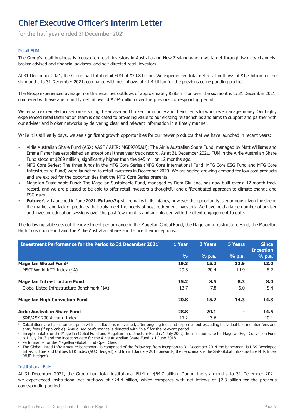**for the half year ended 31 December 2021**

#### Retail FUM

The Group's retail business is focused on retail investors in Australia and New Zealand whom we target through two key channels: broker advised and financial advisers, and self-directed retail investors.

At 31 December 2021, the Group had total retail FUM of \$30.8 billion. We experienced total net retail outflows of \$1.7 billion for the six months to 31 December 2021, compared with net inflows of \$1.4 billion for the previous corresponding period.

The Group experienced average monthly retail net outflows of approximately \$285 million over the six months to 31 December 2021, compared with average monthly net inflows of \$234 million over the previous corresponding period.

We remain extremely focused on servicing the adviser and broker community and their clients for whom we manage money. Our highly experienced retail Distribution team is dedicated to providing value to our existing relationships and aims to support and partner with our adviser and broker networks by delivering clear and relevant information in a timely manner.

While it is still early days, we see significant growth opportunities for our newer products that we have launched in recent years:

- Airlie Australian Share Fund (ASX: AASF / APIR: MGE9705AU): The Airlie Australian Share Fund, managed by Matt Williams and Emma Fisher has established an exceptional three year track record. As at 31 December 2021, FUM in the Airlie Australian Share Fund stood at \$289 million, significantly higher than the \$45 million 12 months ago.
- MFG Core Series: The three funds in the MFG Core Series (MFG Core International Fund, MFG Core ESG Fund and MFG Core Infrastructure Fund) were launched to retail investors in December 2020. We are seeing growing demand for low cost products and are excited for the opportunities that the MFG Core Series presents.
- Magellan Sustainable Fund: The Magellan Sustainable Fund, managed by Dom Giuliano, has now built over a 12 month track record, and we are pleased to be able to offer retail investors a thoughtful and differentiated approach to climate change and ESG risks.
- **Future**Pay: Launched in June 2021, **Future**Pay still remains in its infancy, however the opportunity is enormous given the size of the market and lack of products that truly meet the needs of post-retirement investors. We have held a large number of adviser and investor education sessions over the past few months and are pleased with the client engagement to date.

The following table sets out the investment performance of the Magellan Global Fund, the Magellan Infrastructure Fund, the Magellan High Conviction Fund and the Airlie Australian Share Fund since their inceptions:

| Investment Performance for the Period to 31 December 2021 <sup>1</sup> | 1 Year        | <b>3 Years</b> | 5 Years                  | <b>Since</b><br><b>Inception</b> |
|------------------------------------------------------------------------|---------------|----------------|--------------------------|----------------------------------|
|                                                                        | $\frac{9}{6}$ | $%$ p.a.       | <u>% p.a.</u>            | % p.a. <sup>2</sup>              |
| Magellan Global Fund <sup>3</sup>                                      | 19.3          | 15.2           | 13.9                     | 12.0                             |
| MSCI World NTR Index (\$A)                                             | 29.3          | 20.4           | 14.9                     | 8.2                              |
| <b>Magellan Infrastructure Fund</b>                                    | 15.2          | 8.5            | 8.3                      | 8.0                              |
| Global Listed Infrastructure Benchmark (\$A) <sup>4</sup>              | 13.7          | 7.8            | 6.0                      | 5.4                              |
| <b>Magellan High Conviction Fund</b>                                   | 20.8          | 15.2           | 14.3                     | 14.8                             |
| Airlie Australian Share Fund                                           | 28.8          | 20.1           | ٠                        | 14.5                             |
| S&P/ASX 200 Accum. Index                                               | 17.2          | 13.6           | $\overline{\phantom{a}}$ | 10.1                             |

<sup>1</sup> Calculations are based on exit price with distributions reinvested, after ongoing fees and expenses but excluding individual tax, member fees and entry fees (if applicable). Annualised performance is denoted with "p.a." for the relevant period.

2 Inception date for the Magellan Global Fund and Magellan Infrastructure Fund is 1 July 2007, the inception date for Magellan High Conviction Fund is 1 July 2013 and the inception date for the Airlie Australian Share Fund is 1 June 2018.

Performance for the Magellan Global Fund Open Class

<sup>4</sup> The Global Listed Infrastructure benchmark is comprised of the following: from inception to 31 December 2014 the benchmark is UBS Developed Infrastructure and Utilities NTR Index (AUD Hedged) and from 1 January 2015 onwards, the benchmark is the S&P Global Infrastructure NTR Index (AUD Hedged).

#### Institutional FUM

At 31 December 2021, the Group had total institutional FUM of \$64.7 billion. During the six months to 31 December 2021, we experienced institutional net outflows of \$24.4 billion, which compares with net inflows of \$2.3 billion for the previous corresponding period.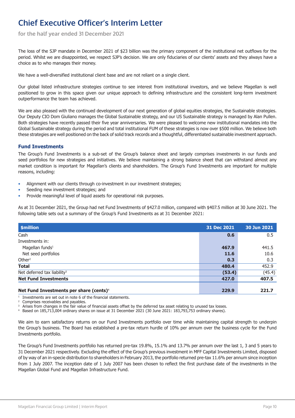**for the half year ended 31 December 2021**

The loss of the SJP mandate in December 2021 of \$23 billion was the primary component of the institutional net outflows for the period. Whilst we are disappointed, we respect SJP's decision. We are only fiduciaries of our clients' assets and they always have a choice as to who manages their money.

We have a well-diversified institutional client base and are not reliant on a single client.

Our global listed infrastructure strategies continue to see interest from institutional investors, and we believe Magellan is well positioned to grow in this space given our unique approach to defining infrastructure and the consistent long-term investment outperformance the team has achieved.

We are also pleased with the continued development of our next generation of global equities strategies, the Sustainable strategies. Our Deputy CIO Dom Giuliano manages the Global Sustainable strategy, and our US Sustainable strategy is managed by Alan Pullen. Both strategies have recently passed their five year anniversaries. We were pleased to welcome new institutional mandates into the Global Sustainable strategy during the period and total institutional FUM of these strategies is now over \$500 million. We believe both these strategies are well positioned on the back of solid track records and a thoughtful, differentiated sustainable investment approach.

#### **Fund Investments**

The Group's Fund Investments is a sub-set of the Group's balance sheet and largely comprises investments in our funds and seed portfolios for new strategies and initiatives. We believe maintaining a strong balance sheet that can withstand almost any market condition is important for Magellan's clients and shareholders. The Group's Fund Investments are important for multiple reasons, including:

- Alignment with our clients through co-investment in our investment strategies;
- Seeding new investment strategies; and
- Provide meaningful level of liquid assets for operational risk purposes.

As at 31 December 2021, the Group had net Fund Investments of \$427.0 million, compared with \$407.5 million at 30 June 2021. The following table sets out a summary of the Group's Fund Investments as at 31 December 2021:

| \$million                                           | 31 Dec 2021 | 30 Jun 2021 |
|-----------------------------------------------------|-------------|-------------|
| Cash                                                | 0.6         | 0.5         |
| Investments in:                                     |             |             |
| Magellan funds <sup>1</sup>                         | 467.9       | 441.5       |
| Net seed portfolios                                 | 11.6        | 10.6        |
| Other $2$                                           | 0.3         | 0.3         |
| <b>Total</b>                                        | 480.4       | 452.9       |
| Net deferred tax liability <sup>3</sup>             | (53.4)      | (45.4)      |
| <b>Net Fund Investments</b>                         | 427.0       | 407.5       |
| Net Fund Investments per share (cents) <sup>4</sup> | 229.9       | 221.7       |

1 Investments are set out in note 6 of the financial statements.

<sup>2</sup> Comprises receivables and payables.

<sup>3</sup> Arises from changes in the fair value of financial assets offset by the deferred tax asset relating to unused tax losses.

<sup>4</sup> Based on 185,713,004 ordinary shares on issue at 31 December 2021 (30 June 2021: 183,793,753 ordinary shares).

We aim to earn satisfactory returns on our Fund Investments portfolio over time while maintaining capital strength to underpin the Group's business. The Board has established a pre-tax return hurdle of 10% per annum over the business cycle for the Fund Investments portfolio.

The Group's Fund Investments portfolio has returned pre-tax 19.8%, 15.1% and 13.7% per annum over the last 1, 3 and 5 years to 31 December 2021 respectively. Excluding the effect of the Group's previous investment in MFF Capital Investments Limited, disposed of by way of an in-specie distribution to shareholders in February 2013, the portfolio returned pre-tax 11.6% per annum since inception from 1 July 2007. The inception date of 1 July 2007 has been chosen to reflect the first purchase date of the investments in the Magellan Global Fund and Magellan Infrastructure Fund.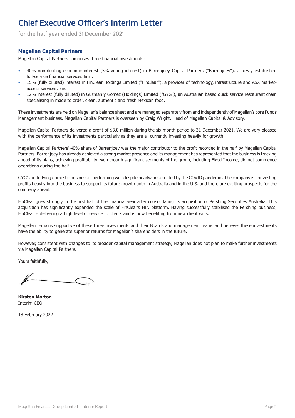**for the half year ended 31 December 2021**

### **Magellan Capital Partners**

Magellan Capital Partners comprises three financial investments:

- 40% non-diluting economic interest (5% voting interest) in Barrenjoey Capital Partners ("Barrenjoey"), a newly established full-service financial services firm;
- 15% (fully diluted) interest in FinClear Holdings Limited ("FinClear"), a provider of technology, infrastructure and ASX marketaccess services; and
- 12% interest (fully diluted) in Guzman y Gomez (Holdings) Limited ("GYG"), an Australian based quick service restaurant chain specialising in made to order, clean, authentic and fresh Mexican food.

These investments are held on Magellan's balance sheet and are managed separately from and independently of Magellan's core Funds Management business. Magellan Capital Partners is overseen by Craig Wright, Head of Magellan Capital & Advisory.

Magellan Capital Partners delivered a profit of \$3.0 million during the six month period to 31 December 2021. We are very pleased with the performance of its investments particularly as they are all currently investing heavily for growth.

Magellan Capital Partners' 40% share of Barrenjoey was the major contributor to the profit recorded in the half by Magellan Capital Partners. Barrenjoey has already achieved a strong market presence and its management has represented that the business is tracking ahead of its plans, achieving profitability even though significant segments of the group, including Fixed Income, did not commence operations during the half.

GYG's underlying domestic business is performing well despite headwinds created by the COVID pandemic. The company is reinvesting profits heavily into the business to support its future growth both in Australia and in the U.S. and there are exciting prospects for the company ahead.

FinClear grew strongly in the first half of the financial year after consolidating its acquisition of Pershing Securities Australia. This acquisition has significantly expanded the scale of FinClear's HIN platform. Having successfully stabilised the Pershing business, FinClear is delivering a high level of service to clients and is now benefiting from new client wins.

Magellan remains supportive of these three investments and their Boards and management teams and believes these investments have the ability to generate superior returns for Magellan's shareholders in the future.

However, consistent with changes to its broader capital management strategy, Magellan does not plan to make further investments via Magellan Capital Partners.

Yours faithfully,

**Kirsten Morton** Interim CEO

18 February 2022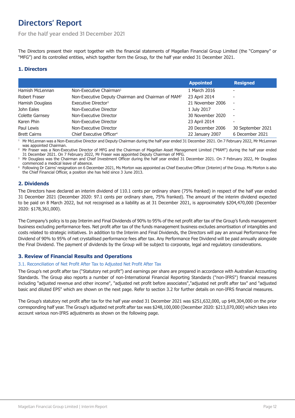# <span id="page-11-0"></span>**Directors' Report**

**For the half year ended 31 December 2021**

The Directors present their report together with the financial statements of Magellan Financial Group Limited (the "Company" or "MFG") and its controlled entities, which together form the Group, for the half year ended 31 December 2021.

### **1. Directors**

|                        |                                                                | <b>Appointed</b> | <b>Resigned</b>          |
|------------------------|----------------------------------------------------------------|------------------|--------------------------|
| Hamish McLennan        | Non-Executive Chairman <sup>1</sup>                            | 1 March 2016     | ۰                        |
| Robert Fraser          | Non-Executive Deputy Chairman and Chairman of MAM <sup>2</sup> | 23 April 2014    | $\overline{\phantom{a}}$ |
| Hamish Douglass        | Executive Director <sup>3</sup>                                | 21 November 2006 | $\overline{\phantom{a}}$ |
| John Eales             | Non-Executive Director                                         | 1 July 2017      | ٠                        |
| <b>Colette Garnsey</b> | Non-Executive Director                                         | 30 November 2020 | $\overline{\phantom{a}}$ |
| Karen Phin             | Non-Executive Director                                         | 23 April 2014    | $\overline{\phantom{0}}$ |
| Paul Lewis             | Non-Executive Director                                         | 20 December 2006 | 30 September 2021        |
| <b>Brett Cairns</b>    | Chief Executive Officer <sup>4</sup>                           | 22 January 2007  | 6 December 2021          |

<sup>1</sup> Mr McLennan was a Non-Executive Director and Deputy Chairman during the half year ended 31 December 2021. On 7 February 2022, Mr McLennan was appointed Chairman.

<sup>2</sup> Mr Fraser was a Non-Executive Director of MFG and the Chairman of Magellan Asset Management Limited ("MAM") during the half year ended 31 December 2021. On 7 February 2022, Mr Fraser was appointed Deputy Chairman of MFG.

<sup>3</sup> Mr Douglass was the Chairman and Chief Investment Officer during the half year ended 31 December 2021. On 7 February 2022, Mr Douglass commenced a medical leave of absence.

<sup>4</sup> Following Dr Cairns' resignation on 6 December 2021, Ms Morton was appointed as Chief Executive Officer (Interim) of the Group. Ms Morton is also the Chief Financial Officer, a position she has held since 3 June 2013.

### **2. Dividends**

The Directors have declared an interim dividend of 110.1 cents per ordinary share (75% franked) in respect of the half year ended 31 December 2021 (December 2020: 97.1 cents per ordinary share, 75% franked). The amount of the interim dividend expected to be paid on 8 March 2022, but not recognised as a liability as at 31 December 2021, is approximately \$204,470,000 (December 2020: \$178,361,000).

The Company's policy is to pay Interim and Final Dividends of 90% to 95% of the net profit after tax of the Group's funds management business excluding performance fees. Net profit after tax of the funds management business excludes amortisation of intangibles and costs related to strategic initiatives. In addition to the Interim and Final Dividends, the Directors will pay an annual Performance Fee Dividend of 90% to 95% of net crystallised performance fees after tax. Any Performance Fee Dividend will be paid annually alongside the Final Dividend. The payment of dividends by the Group will be subject to corporate, legal and regulatory considerations.

### **3. Review of Financial Results and Operations**

### 3.1. Reconciliation of Net Profit After Tax to Adjusted Net Profit After Tax

The Group's net profit after tax ("Statutory net profit") and earnings per share are prepared in accordance with Australian Accounting Standards. The Group also reports a number of non-International Financial Reporting Standards ("non-IFRS") financial measures including "adjusted revenue and other income", "adjusted net profit before associates","adjusted net profit after tax" and "adjusted basic and diluted EPS" which are shown on the next page. Refer to section [3.2](#page-12-0) for further details on non-IFRS financial measures.

The Group's statutory net profit after tax for the half year ended 31 December 2021 was \$251,632,000, up \$49,304,000 on the prior corresponding half year. The Group's adjusted net profit after tax was \$248,100,000 (December 2020: \$213,070,000) which takes into account various non-IFRS adjustments as shown on the following page.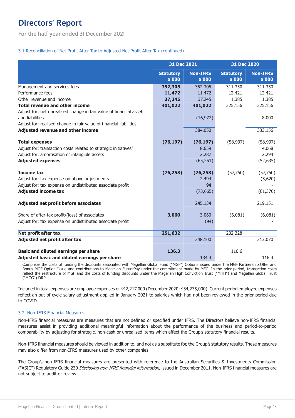# <span id="page-12-0"></span>**Directors' Report**

**For the half year ended 31 December 2021**

### 3.1 Reconciliation of Net Profit After Tax to Adjusted Net Profit After Tax (continued)

|                                                                                                                                                              | 31 Dec 2021                |                           |                            | 31 Dec 2020               |  |
|--------------------------------------------------------------------------------------------------------------------------------------------------------------|----------------------------|---------------------------|----------------------------|---------------------------|--|
|                                                                                                                                                              | <b>Statutory</b><br>\$'000 | <b>Non-IFRS</b><br>\$'000 | <b>Statutory</b><br>\$'000 | <b>Non-IFRS</b><br>\$'000 |  |
| Management and services fees                                                                                                                                 | 352,305                    | 352,305                   | 311,350                    | 311,350                   |  |
| Performance fees                                                                                                                                             | 11,472                     | 11,472                    | 12,421                     | 12,421                    |  |
| Other revenue and income                                                                                                                                     | 37,245                     | 37,245                    | 1,385                      | 1,385                     |  |
| <b>Total revenue and other income</b>                                                                                                                        | 401,022                    | 401,022                   | 325,156                    | 325,156                   |  |
| Adjust for: net unrealised change in fair value of financial assets<br>and liabilities<br>Adjust for: realised change in fair value of financial liabilities |                            | (16, 972)                 |                            | 8,000                     |  |
| <b>Adjusted revenue and other income</b>                                                                                                                     |                            | 384,050                   |                            | 333,156                   |  |
| <b>Total expenses</b>                                                                                                                                        | (76, 197)                  | (76, 197)                 | (58, 997)                  | (58, 997)                 |  |
| Adjust for: transaction costs related to strategic initiatives <sup>1</sup>                                                                                  |                            | 8,659                     |                            | 4,068                     |  |
| Adjust for: amortisation of intangible assets                                                                                                                |                            | 2,287                     |                            | 2,294                     |  |
| <b>Adjusted expenses</b>                                                                                                                                     |                            | (65, 251)                 |                            | (52, 635)                 |  |
| <b>Income tax</b>                                                                                                                                            | (76, 253)                  | (76, 253)                 | (57,750)                   | (57, 750)                 |  |
| Adjust for: tax expense on above adjustments                                                                                                                 |                            | 2,494                     |                            | (3,620)                   |  |
| Adjust for: tax expense on undistributed associate profit                                                                                                    |                            | 94                        |                            |                           |  |
| <b>Adjusted income tax</b>                                                                                                                                   |                            | (73, 665)                 |                            | (61, 370)                 |  |
| Adjusted net profit before associates                                                                                                                        |                            | 245,134                   |                            | 219,151                   |  |
| Share of after-tax profit/(loss) of associates                                                                                                               | 3,060                      | 3,060                     | (6,081)                    | (6,081)                   |  |
| Adjust for: tax expense on undistributed associate profit                                                                                                    |                            | (94)                      |                            |                           |  |
| Net profit after tax                                                                                                                                         | 251,632                    |                           | 202,328                    |                           |  |
| Adjusted net profit after tax                                                                                                                                |                            | 248,100                   |                            | 213,070                   |  |
|                                                                                                                                                              |                            |                           |                            |                           |  |
| Basic and diluted earnings per share                                                                                                                         | 136.3                      |                           | 110.6                      |                           |  |
| Adjusted basic and diluted earnings per share                                                                                                                |                            | 134.4                     |                            | 116.4                     |  |

<sup>1</sup> Comprises the costs of funding the discounts associated with Magellan Global Fund ("MGF") Options issued under the MGF Partnership Offer and Bonus MGF Option Issue and contributions to Magellan FuturePay under the commitment made by MFG. In the prior period, transaction costs reflect the restructure of MGF and the costs of funding discounts under the Magellan High Conviction Trust ("MHH") and Magellan Global Trust ("MGG") DRPs.

Included in total expenses are employee expenses of \$42,217,000 (December 2020: \$34,275,000). Current period employee expenses reflect an out of cycle salary adjustment applied in January 2021 to salaries which had not been reviewed in the prior period due to COVID.

### 3.2. Non-IFRS Financial Measures

Non-IFRS financial measures are measures that are not defined or specified under IFRS. The Directors believe non-IFRS financial measures assist in providing additional meaningful information about the performance of the business and period-to-period comparability by adjusting for strategic, non-cash or unrealised items which affect the Group's statutory financial results.

Non-IFRS financial measures should be viewed in addition to, and not as a substitute for, the Group's statutory results. These measures may also differ from non-IFRS measures used by other companies.

The Group's non-IFRS financial measures are presented with reference to the Australian Securities & Investments Commission ("ASIC") Regulatory Guide 230 Disclosing non-IFRS financial information, issued in December 2011. Non-IFRS financial measures are not subject to audit or review.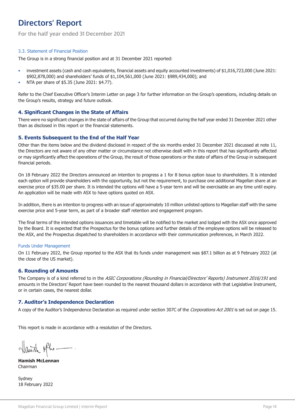# **Directors' Report**

**For the half year ended 31 December 2021**

#### 3.3. Statement of Financial Position

The Group is in a strong financial position and at 31 December 2021 reported:

- investment assets (cash and cash equivalents, financial assets and equity accounted investments) of \$1,016,723,000 (June 2021: \$902,878,000) and shareholders' funds of \$1,104,561,000 (June 2021: \$989,434,000); and
- NTA per share of \$5.35 (June 2021: \$4.77).

Refer to the Chief Executive Officer's Interim Letter on page [3](#page-2-0) for further information on the Group's operations, including details on the Group's results, strategy and future outlook.

### **4. Significant Changes in the State of Affairs**

There were no significant changes in the state of affairs of the Group that occurred during the half year ended 31 December 2021 other than as disclosed in this report or the financial statements.

### **5. Events Subsequent to the End of the Half Year**

Other than the items below and the dividend disclosed in respect of the six months ended 31 December 2021 discussed at note [11,](#page-30-0) the Directors are not aware of any other matter or circumstance not otherwise dealt with in this report that has significantly affected or may significantly affect the operations of the Group, the result of those operations or the state of affairs of the Group in subsequent financial periods.

On 18 February 2022 the Directors announced an intention to progress a 1 for 8 bonus option issue to shareholders. It is intended each option will provide shareholders with the opportunity, but not the requirement, to purchase one additional Magellan share at an exercise price of \$35.00 per share. It is intended the options will have a 5-year term and will be exercisable an any time until expiry. An application will be made with ASX to have options quoted on ASX.

In addition, there is an intention to progress with an issue of approximately 10 million unlisted options to Magellan staff with the same exercise price and 5-year term, as part of a broader staff retention and engagement program.

The final terms of the intended options issuances and timetable will be notified to the market and lodged with the ASX once approved by the Board. It is expected that the Prospectus for the bonus options and further details of the employee options will be released to the ASX, and the Prospectus dispatched to shareholders in accordance with their communication preferences, in March 2022.

#### Funds Under Management

On 11 February 2022, the Group reported to the ASX that its funds under management was \$87.1 billion as at 9 February 2022 (at the close of the US market).

### **6. Rounding of Amounts**

The Company is of a kind referred to in the ASIC Corporations (Rounding in Financial/Directors' Reports) Instrument 2016/191 and amounts in the Directors' Report have been rounded to the nearest thousand dollars in accordance with that Legislative Instrument, or in certain cases, the nearest dollar.

### **7. Auditor's Independence Declaration**

A copy of the Auditor's Independence Declaration as required under section 307C of the *Corporations Act 2001* is set out on page [15.](#page-14-0)

This report is made in accordance with a resolution of the Directors.

Hanish phe

**Hamish McLennan** Chairman

Sydney 18 February 2022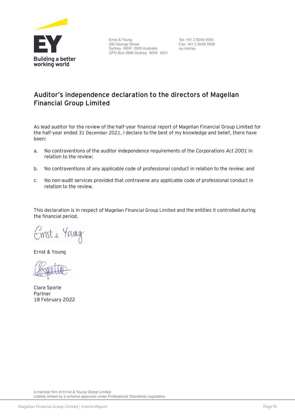<span id="page-14-0"></span>

Ernst & Young 200 George Street Sydney NSW 2000 Australia GPO Box 2646 Sydney NSW 2001 Tel: +61 2 9248 5555 Fax: +61 2 9248 5959 ey.com/au

### **Auditor's independence declaration to the directors of Magellan Financial Group Limited**

As lead auditor for the review of the half-year financial report of Magellan Financial Group Limited for the half-year ended 31 December 2021, I declare to the best of my knowledge and belief, there have been:

- a. No contraventions of the auditor independence requirements of the *Corporations Act 2001* in relation to the review;
- b. No contraventions of any applicable code of professional conduct in relation to the review; and
- c. No non-audit services provided that contravene any applicable code of professional conduct in relation to the review.

This declaration is in respect of Magellan Financial Group Limited and the entities it controlled during the financial period.

Emste Young

Ernst & Young



Clare Sporle Partner 18 February 2022

A member firm of Ernst & Young Global Limited Liability limited by a scheme approved under Professional Standards Legislation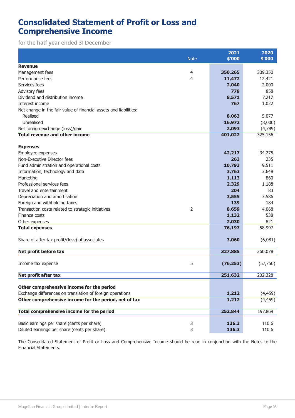### <span id="page-15-0"></span>**Consolidated Statement of Profit or Loss and Comprehensive Income**

**for the half year ended 31 December**

| <b>Revenue</b><br>4<br>350,265<br>309,350<br>Management fees<br>Performance fees<br>4<br>11,472<br>12,421<br>Services fees<br>2,040<br>2,000<br>Advisory fees<br>779<br>Dividend and distribution income<br>7,217<br>8,571<br>1,022<br>Interest income<br>767<br>Net change in the fair value of financial assets and liabilities: |
|------------------------------------------------------------------------------------------------------------------------------------------------------------------------------------------------------------------------------------------------------------------------------------------------------------------------------------|
|                                                                                                                                                                                                                                                                                                                                    |
|                                                                                                                                                                                                                                                                                                                                    |
|                                                                                                                                                                                                                                                                                                                                    |
|                                                                                                                                                                                                                                                                                                                                    |
|                                                                                                                                                                                                                                                                                                                                    |
|                                                                                                                                                                                                                                                                                                                                    |
|                                                                                                                                                                                                                                                                                                                                    |
|                                                                                                                                                                                                                                                                                                                                    |
| Realised<br>5,077<br>8,063                                                                                                                                                                                                                                                                                                         |
| Unrealised<br>16,972<br>(8,000)                                                                                                                                                                                                                                                                                                    |
| 2,093<br>(4,789)<br>Net foreign exchange (loss)/gain                                                                                                                                                                                                                                                                               |
| <b>Total revenue and other income</b><br>401,022<br>325,156                                                                                                                                                                                                                                                                        |
| <b>Expenses</b>                                                                                                                                                                                                                                                                                                                    |
| Employee expenses<br>42,217<br>34,275                                                                                                                                                                                                                                                                                              |
| Non-Executive Director fees<br>263                                                                                                                                                                                                                                                                                                 |
| 9,511<br>Fund administration and operational costs<br>10,793                                                                                                                                                                                                                                                                       |
| Information, technology and data<br>3,763<br>3,648                                                                                                                                                                                                                                                                                 |
| Marketing<br>1,113                                                                                                                                                                                                                                                                                                                 |
| Professional services fees<br>2,329<br>1,188                                                                                                                                                                                                                                                                                       |
| Travel and entertainment<br>204                                                                                                                                                                                                                                                                                                    |
| 3,586<br>Depreciation and amortisation<br>3,555                                                                                                                                                                                                                                                                                    |
| Foreign and withholding taxes<br>139                                                                                                                                                                                                                                                                                               |
| $\overline{2}$<br>Transaction costs related to strategic initiatives<br>8,659<br>4,068                                                                                                                                                                                                                                             |
| Finance costs<br>1,132                                                                                                                                                                                                                                                                                                             |
| 2,030<br>Other expenses                                                                                                                                                                                                                                                                                                            |
| 58,997<br><b>Total expenses</b><br>76,197                                                                                                                                                                                                                                                                                          |
| Share of after tax profit/(loss) of associates<br>(6,081)<br>3,060                                                                                                                                                                                                                                                                 |
| Net profit before tax<br>327,885<br>260,078                                                                                                                                                                                                                                                                                        |
| 5<br>Income tax expense<br>(76, 253)<br>(57,750)                                                                                                                                                                                                                                                                                   |
| Net profit after tax<br>251,632<br>202,328                                                                                                                                                                                                                                                                                         |
| Other comprehensive income for the period                                                                                                                                                                                                                                                                                          |
| Exchange differences on translation of foreign operations<br>1,212<br>(4, 459)                                                                                                                                                                                                                                                     |
| Other comprehensive income for the period, net of tax<br>1,212<br>(4, 459)                                                                                                                                                                                                                                                         |
| Total comprehensive income for the period<br>252,844<br>197,869                                                                                                                                                                                                                                                                    |
| 3<br>Basic earnings per share (cents per share)<br>136.3<br>110.6                                                                                                                                                                                                                                                                  |
| Diluted earnings per share (cents per share)<br>3<br>136.3<br>110.6                                                                                                                                                                                                                                                                |

The Consolidated Statement of Profit or Loss and Comprehensive Income should be read in conjunction with the Notes to the Financial Statements.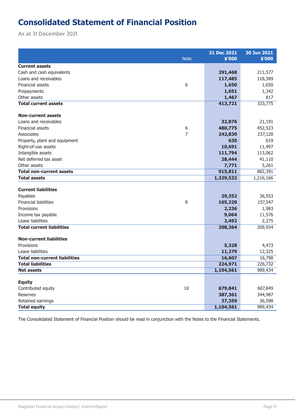# <span id="page-16-0"></span>**Consolidated Statement of Financial Position**

**As at 31 December 2021**

|                                      | 31 Dec 2021 | 30 Jun 2021 |
|--------------------------------------|-------------|-------------|
| <b>Note</b>                          | \$'000      | \$'000      |
| <b>Current assets</b>                |             |             |
| Cash and cash equivalents            | 291,468     | 211,577     |
| Loans and receivables                | 117,485     | 118,389     |
| Financial assets<br>6                | 1,650       | 1,650       |
| Prepayments                          | 1,651       | 1,342       |
| Other assets                         | 1,467       | 817         |
| <b>Total current assets</b>          | 413,721     | 333,775     |
|                                      |             |             |
| <b>Non-current assets</b>            |             |             |
| Loans and receivables                | 32,876      | 21,191      |
| Financial assets<br>6                | 480,775     | 452,523     |
| 7<br>Associates                      | 242,830     | 237,128     |
| Property, plant and equipment        | 630         | 619         |
| Right-of-use assets                  | 10,691      | 11,497      |
| Intangible assets                    | 111,794     | 113,062     |
| Net deferred tax asset               | 28,444      | 41,110      |
| Other assets                         | 7,771       | 5,261       |
| <b>Total non-current assets</b>      | 915,811     | 882,391     |
| <b>Total assets</b>                  | 1,329,532   | 1,216,166   |
|                                      |             |             |
| <b>Current liabilities</b>           |             |             |
| Payables                             | 29,352      | 36,553      |
| 8<br><b>Financial liabilities</b>    | 165,220     | 157,547     |
| Provisions                           | 2,236       | 1,983       |
| Income tax payable                   | 9,064       | 11,576      |
| Lease liabilities                    | 2,492       | 2,275       |
| <b>Total current liabilities</b>     | 208,364     | 209,934     |
| <b>Non-current liabilities</b>       |             |             |
| Provisions                           | 5,328       | 4,473       |
| Lease liabilities                    | 11,279      | 12,325      |
| <b>Total non-current liabilities</b> | 16,607      | 16,798      |
| <b>Total liabilities</b>             | 224,971     | 226,732     |
| <b>Net assets</b>                    | 1,104,561   | 989,434     |
|                                      |             |             |
| <b>Equity</b>                        |             |             |
| $10\,$<br>Contributed equity         | 679,841     | 607,849     |
| <b>Reserves</b>                      | 387,361     | 344,987     |
| Retained earnings                    | 37,359      | 36,598      |
| <b>Total equity</b>                  | 1,104,561   | 989,434     |

The Consolidated Statement of Financial Position should be read in conjunction with the Notes to the Financial Statements.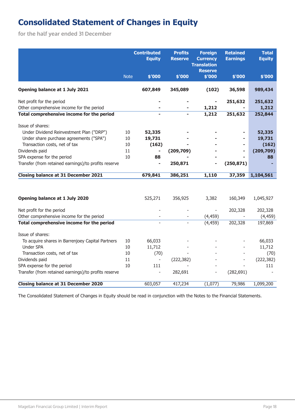# <span id="page-17-0"></span>**Consolidated Statement of Changes in Equity**

**for the half year ended 31 December**

|                                                                          |              | <b>Contributed</b><br><b>Equity</b> | <b>Profits</b><br><b>Reserve</b> | <b>Foreign</b><br><b>Currency</b><br><b>Translation</b><br><b>Reserve</b> | Retained<br><b>Earnings</b> | <b>Total</b><br><b>Equity</b> |
|--------------------------------------------------------------------------|--------------|-------------------------------------|----------------------------------|---------------------------------------------------------------------------|-----------------------------|-------------------------------|
|                                                                          | <b>Note</b>  | \$'000                              | \$'000                           | \$7000                                                                    | \$'000                      | \$'000                        |
| Opening balance at 1 July 2021                                           |              | 607,849                             | 345,089                          | (102)                                                                     | 36,598                      | 989,434                       |
| Net profit for the period<br>Other comprehensive income for the period   |              |                                     |                                  | 1,212                                                                     | 251,632                     | 251,632<br>1,212              |
| Total comprehensive income for the period                                |              |                                     |                                  | 1,212                                                                     | 251,632                     | 252,844                       |
| Issue of shares:<br>Under Dividend Reinvestment Plan ("DRP")             | 10           | 52,335                              |                                  |                                                                           |                             | 52,335                        |
| Under share purchase agreements ("SPA")<br>Transaction costs, net of tax | 10<br>$10\,$ | 19,731<br>(162)                     |                                  |                                                                           |                             | 19,731<br>(162)               |
| Dividends paid                                                           | 11           | -                                   | (209, 709)                       |                                                                           |                             | (209, 709)                    |
| SPA expense for the period                                               | 10           | 88                                  |                                  |                                                                           |                             | 88                            |
| Transfer (from retained earnings)/to profits reserve                     |              |                                     | 250,871                          |                                                                           | (250, 871)                  |                               |
| <b>Closing balance at 31 December 2021</b>                               |              | 679,841                             | 386,251                          | 1,110                                                                     | 37,359                      | 1,104,561                     |
|                                                                          |              |                                     |                                  |                                                                           |                             |                               |
| Opening balance at 1 July 2020                                           |              | 525,271                             | 356,925                          | 3,382                                                                     | 160,349                     | 1,045,927                     |
| Net profit for the period                                                |              |                                     |                                  | $\overline{\phantom{a}}$                                                  | 202,328                     | 202,328                       |
| Other comprehensive income for the period                                |              |                                     |                                  | (4, 459)                                                                  |                             | (4, 459)                      |
| Total comprehensive income for the period                                |              |                                     |                                  | (4, 459)                                                                  | 202,328                     | 197,869                       |
| Issue of shares:                                                         |              |                                     |                                  |                                                                           |                             |                               |
| To acquire shares in Barrenjoey Capital Partners                         | 10           | 66,033                              |                                  |                                                                           |                             | 66,033                        |
| <b>Under SPA</b>                                                         | $10\,$       | 11,712                              |                                  |                                                                           |                             | 11,712                        |
| Transaction costs, net of tax                                            | 10           | (70)                                |                                  |                                                                           |                             | (70)                          |
| Dividends paid                                                           | 11           | $\overline{\phantom{a}}$            | (222, 382)                       |                                                                           |                             | (222, 382)                    |
| SPA expense for the period                                               | 10           | 111                                 |                                  |                                                                           |                             | 111                           |
| Transfer (from retained earnings)/to profits reserve                     |              |                                     | 282,691                          |                                                                           | (282, 691)                  |                               |
| <b>Closing balance at 31 December 2020</b>                               |              | 603,057                             | 417,234                          | (1,077)                                                                   | 79,986                      | 1,099,200                     |

The Consolidated Statement of Changes in Equity should be read in conjunction with the Notes to the Financial Statements.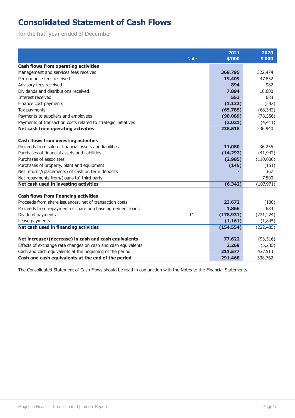# <span id="page-18-0"></span>**Consolidated Statement of Cash Flows**

**for the half year ended 31 December**

|                                                                |             | 2021       | 2020       |
|----------------------------------------------------------------|-------------|------------|------------|
|                                                                | <b>Note</b> | \$'000     | \$'000     |
| <b>Cash flows from operating activities</b>                    |             |            |            |
| Management and services fees received                          |             | 368,795    | 322,474    |
| Performance fees received                                      |             | 19,409     | 47,852     |
| Advisory fees received                                         |             | 894        | 982        |
| Dividends and distributions received                           |             | 7,894      | 16,600     |
| Interest received                                              |             | 553        | 683        |
| Finance cost payments                                          |             | (1, 132)   | (542)      |
| Tax payments                                                   |             | (65, 785)  | (68, 342)  |
| Payments to suppliers and employees                            |             | (90,089)   | (78, 356)  |
| Payments of transaction costs related to strategic initiatives |             | (2,021)    | (4, 411)   |
| Net cash from operating activities                             |             | 238,518    | 236,940    |
|                                                                |             |            |            |
| <b>Cash flows from investing activities</b>                    |             |            |            |
| Proceeds from sale of financial assets and liabilities         |             | 11,080     | 36,255     |
| Purchases of financial assets and liabilities                  |             | (14, 292)  | (41, 942)  |
| Purchases of associates                                        |             | (2,985)    | (110,000)  |
| Purchases of property, plant and equipment                     |             | (145)      | (151)      |
| Net returns/(placements) of cash on term deposits              |             |            | 367        |
| Net repayments from/(loans to) third party                     |             |            | 7,500      |
| Net cash used in investing activities                          |             | (6, 342)   | (107, 971) |
| <b>Cash flows from financing activities</b>                    |             |            |            |
| Proceeds from share issuances, net of transaction costs        |             | 23,672     | (100)      |
| Proceeds from repayment of share purchase agreement loans      |             | 1,866      | 684        |
| Dividend payments                                              | 11          | (178, 931) | (221, 224) |
| Lease payments                                                 |             | (1, 161)   | (1, 845)   |
| Net cash used in financing activities                          |             | (154, 554) | (222, 485) |
|                                                                |             |            |            |
| Net increase/(decrease) in cash and cash equivalents           |             | 77,622     | (93, 516)  |
| Effects of exchange rate changes on cash and cash equivalents  |             | 2,269      | (5,235)    |
| Cash and cash equivalents at the beginning of the period       |             | 211,577    | 437,513    |
| Cash and cash equivalents at the end of the period             |             | 291,468    | 338,762    |

The Consolidated Statement of Cash Flows should be read in conjunction with the Notes to the Financial Statements.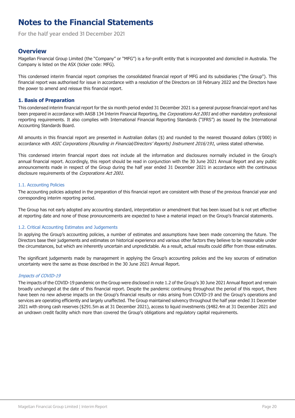<span id="page-19-0"></span>**For the half year ended 31 December 2021**

### **Overview**

Magellan Financial Group Limited (the "Company" or "MFG") is a for-profit entity that is incorporated and domiciled in Australia. The Company is listed on the ASX (ticker code: MFG).

This condensed interim financial report comprises the consolidated financial report of MFG and its subsidiaries ("the Group"). This financial report was authorised for issue in accordance with a resolution of the Directors on 18 February 2022 and the Directors have the power to amend and reissue this financial report.

### **1. Basis of Preparation**

This condensed interim financial report for the six month period ended 31 December 2021 is a general purpose financial report and has been prepared in accordance with AASB 134 Interim Financial Reporting, the Corporations Act 2001 and other mandatory professional reporting requirements. It also complies with International Financial Reporting Standards ("IFRS") as issued by the International Accounting Standards Board.

All amounts in this financial report are presented in Australian dollars (\$) and rounded to the nearest thousand dollars (\$'000) in accordance with ASIC Corporations (Rounding in Financial/Directors' Reports) Instrument 2016/191, unless stated otherwise.

This condensed interim financial report does not include all the information and disclosures normally included in the Group's annual financial report. Accordingly, this report should be read in conjunction with the 30 June 2021 Annual Report and any public announcements made in respect of the Group during the half year ended 31 December 2021 in accordance with the continuous disclosure requirements of the Corporations Act 2001.

### 1.1. Accounting Policies

The accounting policies adopted in the preparation of this financial report are consistent with those of the previous financial year and corresponding interim reporting period.

The Group has not early adopted any accounting standard, interpretation or amendment that has been issued but is not yet effective at reporting date and none of those pronouncements are expected to have a material impact on the Group's financial statements.

### 1.2. Critical Accounting Estimates and Judgements

In applying the Group's accounting policies, a number of estimates and assumptions have been made concerning the future. The Directors base their judgements and estimates on historical experience and various other factors they believe to be reasonable under the circumstances, but which are inherently uncertain and unpredictable. As a result, actual results could differ from those estimates.

The significant judgements made by management in applying the Group's accounting policies and the key sources of estimation uncertainty were the same as those described in the 30 June 2021 Annual Report.

### Impacts of COVID-19

The impacts of the COVID-19 pandemic on the Group were disclosed in note 1.2 of the Group's 30 June 2021 Annual Report and remain broadly unchanged at the date of this financial report. Despite the pandemic continuing throughout the period of this report, there have been no new adverse impacts on the Group's financial results or risks arising from COVID-19 and the Group's operations and services are operating efficiently and largely unaffected. The Group maintained solvency throughout the half year ended 31 December 2021 with strong cash reserves (\$291.5m as at 31 December 2021), access to liquid investments (\$482.4m at 31 December 2021 and an undrawn credit facility which more than covered the Group's obligations and regulatory capital requirements.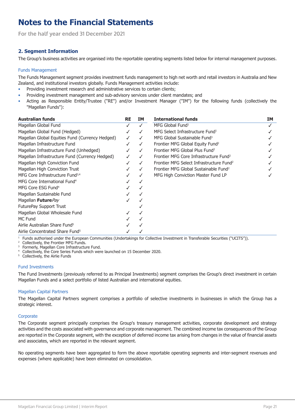<span id="page-20-0"></span>**For the half year ended 31 December 2021**

### **2. Segment Information**

The Group's business activities are organised into the reportable operating segments listed below for internal management purposes.

#### Funds Management

The Funds Management segment provides investment funds management to high net worth and retail investors in Australia and New Zealand, and institutional investors globally. Funds Management activities include:

- Providing investment research and administrative services to certain clients;
- Providing investment management and sub-advisory services under client mandates; and
- Acting as Responsible Entity/Trustee ("RE") and/or Investment Manager ("IM") for the following funds (collectively the "Magellan Funds"):

| <b>Australian funds</b>                         | <b>RE</b> | IΜ | <b>International funds</b>                           | <b>IM</b> |
|-------------------------------------------------|-----------|----|------------------------------------------------------|-----------|
| Magellan Global Fund                            |           |    | MFG Global Fund <sup>1</sup>                         |           |
| Magellan Global Fund (Hedged)                   |           |    | MFG Select Infrastructure Fund <sup>1</sup>          |           |
| Magellan Global Equities Fund (Currency Hedged) | ✓         |    | MFG Global Sustainable Fund <sup>1</sup>             |           |
| Magellan Infrastructure Fund                    |           |    | Frontier MFG Global Equity Fund <sup>2</sup>         |           |
| Magellan Infrastructure Fund (Unhedged)         |           |    | Frontier MFG Global Plus Fund <sup>2</sup>           |           |
| Magellan Infrastructure Fund (Currency Hedged)  |           |    | Frontier MFG Core Infrastructure Fund <sup>2</sup>   |           |
| Magellan High Conviction Fund                   |           |    | Frontier MFG Select Infrastructure Fund <sup>2</sup> |           |
| Magellan High Conviction Trust                  |           |    | Frontier MFG Global Sustainable Fund <sup>2</sup>    |           |
| MFG Core Infrastructure Fund <sup>3,4</sup>     |           |    | MFG High Conviction Master Fund LP                   |           |
| MFG Core International Fund <sup>4</sup>        |           |    |                                                      |           |
| MFG Core ESG Fund <sup>4</sup>                  |           |    |                                                      |           |
| Magellan Sustainable Fund                       |           |    |                                                      |           |
| Magellan <b>Future</b> Pay                      |           |    |                                                      |           |
| FuturePay Support Trust                         |           |    |                                                      |           |
| Magellan Global Wholesale Fund                  |           |    |                                                      |           |
| MC Fund                                         |           |    |                                                      |           |
| Airlie Australian Share Fund <sup>5</sup>       |           |    |                                                      |           |
| Airlie Concentrated Share Fund <sup>5</sup>     |           |    |                                                      |           |

<sup>1</sup> Funds authorised under the European Communities (Undertakings for Collective Investment in Transferable Securities ("UCITS")).

Collectively, the Frontier MFG Funds.

Formerly, Magellan Core Infrastructure Fund.

<sup>4</sup> Collectively, the Core Series Funds which were launched on 15 December 2020.

<sup>5</sup> Collectively, the Airlie Funds

#### Fund Investments

The Fund Investments (previously referred to as Principal Investments) segment comprises the Group's direct investment in certain Magellan Funds and a select portfolio of listed Australian and international equities.

#### Magellan Capital Partners

The Magellan Capital Partners segment comprises a portfolio of selective investments in businesses in which the Group has a strategic interest.

#### **Corporate**

The Corporate segment principally comprises the Group's treasury management activities, corporate development and strategy activities and the costs associated with governance and corporate management. The combined income tax consequences of the Group are reported in the Corporate segment, with the exception of deferred income tax arising from changes in the value of financial assets and associates, which are reported in the relevant segment.

No operating segments have been aggregated to form the above reportable operating segments and inter-segment revenues and expenses (where applicable) have been eliminated on consolidation.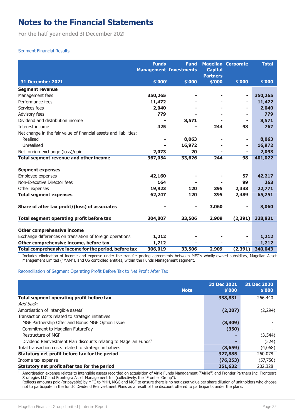**For the half year ended 31 December 2021**

### Segment Financial Results

|                                                                   | <b>Funds</b><br><b>Management Investments</b> | <b>Fund</b> | <b>Capital</b><br><b>Partners</b> | <b>Magellan Corporate</b> | <b>Total</b> |
|-------------------------------------------------------------------|-----------------------------------------------|-------------|-----------------------------------|---------------------------|--------------|
| <b>31 December 2021</b>                                           | \$′000¹                                       | \$'000      | \$'000                            | \$'000                    | \$'000       |
| <b>Segment revenue</b>                                            |                                               |             |                                   |                           |              |
| Management fees                                                   | 350,265                                       |             |                                   | ۰                         | 350,265      |
| Performance fees                                                  | 11,472                                        |             |                                   | ۰                         | 11,472       |
| Services fees                                                     | 2,040                                         |             |                                   | ۰                         | 2,040        |
| Advisory fees                                                     | 779                                           |             |                                   | ۰                         | 779          |
| Dividend and distribution income                                  |                                               | 8,571       |                                   | ۰                         | 8,571        |
| Interest income                                                   | 425                                           |             | 244                               | 98                        | 767          |
| Net change in the fair value of financial assets and liabilities: |                                               |             |                                   |                           |              |
| Realised                                                          |                                               | 8,063       |                                   | ۰                         | 8,063        |
| Unrealised                                                        |                                               | 16,972      |                                   | ۰                         | 16,972       |
| Net foreign exchange (loss)/gain                                  | 2,073                                         | 20          |                                   | ۰                         | 2,093        |
| Total segment revenue and other income                            | 367,054                                       | 33,626      | 244                               | 98                        | 401,022      |
| <b>Segment expenses</b>                                           |                                               |             |                                   |                           |              |
| Employee expenses                                                 | 42,160                                        |             |                                   | 57                        | 42,217       |
| Non-Executive Director fees                                       | 164                                           |             |                                   | 99                        | 263          |
| Other expenses                                                    | 19,923                                        | 120         | 395                               | 2,333                     | 22,771       |
| <b>Total segment expenses</b>                                     | 62,247                                        | 120         | 395                               | 2,489                     | 65,251       |
| Share of after tax profit/(loss) of associates                    |                                               | ۰           | 3,060                             | ۰                         | 3,060        |
| Total segment operating profit before tax                         | 304,807                                       | 33,506      | 2,909                             | (2, 391)                  | 338,831      |
| <b>Other comprehensive income</b>                                 |                                               |             |                                   |                           |              |
| Exchange differences on translation of foreign operations         | 1,212                                         |             |                                   | ۰                         | 1,212        |
| Other comprehensive income, before tax                            | 1,212                                         |             |                                   | ٠                         | 1,212        |
| Total comprehensive income for the period, before tax             | 306,019                                       | 33,506      | 2,909                             | (2, 391)                  | 340,043      |

 $\overline{1}$ Includes elimination of income and expense under the transfer pricing agreements between MFG's wholly-owned subsidiary, Magellan Asset Management Limited ("MAM"), and US controlled entities, within the Funds Management segment.

#### Reconciliation of Segment Operating Profit Before Tax to Net Profit After Tax

|                                                                              | 31 Dec 2021 | 31 Dec 2020 |
|------------------------------------------------------------------------------|-------------|-------------|
| <b>Note</b>                                                                  | \$'000      | \$'000      |
| Total segment operating profit before tax                                    | 338,831     | 266,440     |
| Add back:                                                                    |             |             |
| Amortisation of intangible assets <sup>1</sup>                               | (2, 287)    | (2, 294)    |
| Transaction costs related to strategic initiatives:                          |             |             |
| MGF Partnership Offer and Bonus MGF Option Issue                             | (8,309)     |             |
| Commitment to Magellan FuturePay                                             | (350)       |             |
| Restructure of MGF                                                           |             | (3, 544)    |
| Dividend Reinvestment Plan discounts relating to Magellan Funds <sup>2</sup> |             | (524)       |
| Total transaction costs related to strategic initiatives                     | (8, 659)    | (4,068)     |
| Statutory net profit before tax for the period                               | 327,885     | 260,078     |
| Income tax expense                                                           | (76, 253)   | (57, 750)   |
| Statutory net profit after tax for the period                                | 251,632     | 202,328     |

<sup>1</sup> Amortisation expense relates to intangible assets recorded on acquisition of Airlie Funds Management ("Airlie") and Frontier Partners Inc, Frontegra Strategies LLC and Frontegra Asset Management Inc (collectively, the "Frontier Group").

 $^2$  Reflects amounts paid (or payable) by MFG to MHH, MGG and MGF to ensure there is no net asset value per share dilution of unitholders who choose not to participate in the funds' Dividend Reinvestment Plans as a result of the discount offered to participants under the plans.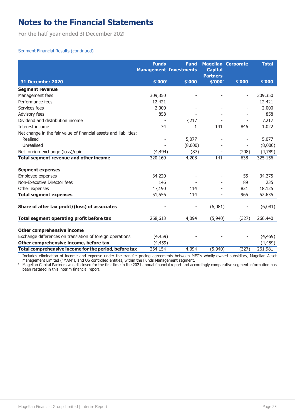**For the half year ended 31 December 2021**

### Segment Financial Results (continued)

|                                                                   | <b>Funds</b><br><b>Management Investments</b> | <b>Fund</b>              | <b>Capital</b><br><b>Partners</b> | <b>Magellan Corporate</b> | <b>Total</b> |
|-------------------------------------------------------------------|-----------------------------------------------|--------------------------|-----------------------------------|---------------------------|--------------|
| <b>31 December 2020</b>                                           | \$′000¹                                       | \$'000                   | \$′000 <sup>2</sup>               | \$'000                    | \$'000       |
| <b>Segment revenue</b>                                            |                                               |                          |                                   |                           |              |
| Management fees                                                   | 309,350                                       |                          |                                   |                           | 309,350      |
| Performance fees                                                  | 12,421                                        |                          |                                   |                           | 12,421       |
| Services fees                                                     | 2,000                                         |                          |                                   |                           | 2,000        |
| Advisory fees                                                     | 858                                           |                          |                                   |                           | 858          |
| Dividend and distribution income                                  |                                               | 7,217                    |                                   |                           | 7,217        |
| Interest income                                                   | 34                                            | 1                        | 141                               | 846                       | 1,022        |
| Net change in the fair value of financial assets and liabilities: |                                               |                          |                                   |                           |              |
| Realised                                                          |                                               | 5,077                    |                                   |                           | 5,077        |
| Unrealised                                                        |                                               | (8,000)                  |                                   | -                         | (8,000)      |
| Net foreign exchange (loss)/gain                                  | (4, 494)                                      | (87)                     |                                   | (208)                     | (4,789)      |
| Total segment revenue and other income                            | 320,169                                       | 4,208                    | 141                               | 638                       | 325,156      |
| <b>Segment expenses</b>                                           |                                               |                          |                                   |                           |              |
| Employee expenses                                                 | 34,220                                        |                          |                                   | 55                        | 34,275       |
| Non-Executive Director fees                                       | 146                                           |                          |                                   | 89                        | 235          |
| Other expenses                                                    | 17,190                                        | 114                      |                                   | 821                       | 18,125       |
| <b>Total segment expenses</b>                                     | 51,556                                        | 114                      | $\blacksquare$                    | 965                       | 52,635       |
| Share of after tax profit/(loss) of associates                    |                                               | $\overline{\phantom{a}}$ | (6,081)                           |                           | (6,081)      |
| Total segment operating profit before tax                         | 268,613                                       | 4,094                    | (5,940)                           | (327)                     | 266,440      |
| <b>Other comprehensive income</b>                                 |                                               |                          |                                   |                           |              |
| Exchange differences on translation of foreign operations         | (4, 459)                                      |                          |                                   |                           | (4, 459)     |
| Other comprehensive income, before tax                            | (4, 459)                                      |                          |                                   | $\overline{\phantom{a}}$  | (4, 459)     |
| Total comprehensive income for the period, before tax             | 264,154                                       | 4,094                    | (5,940)                           | (327)                     | 261,981      |

 $\overline{1}$ Includes elimination of income and expense under the transfer pricing agreements between MFG's wholly-owned subsidiary, Magellan Asset Management Limited ("MAM"), and US controlled entities, within the Funds Management segment.

 $^2$  Magellan Capital Partners was disclosed for the first time in the 2021 annual financial report and accordingly comparative segment information has been restated in this interim financial report.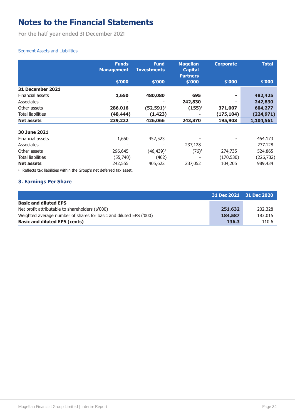<span id="page-23-0"></span>**For the half year ended 31 December 2021**

### Segment Assets and Liabilities

|                          | <b>Funds</b>      | <b>Fund</b>        | <b>Magellan</b> | <b>Corporate</b> | <b>Total</b> |
|--------------------------|-------------------|--------------------|-----------------|------------------|--------------|
|                          | <b>Management</b> | <b>Investments</b> | <b>Capital</b>  |                  |              |
|                          |                   |                    | <b>Partners</b> |                  |              |
|                          | \$'000            | \$'000             | \$'000          | \$'000           | \$′000       |
| 31 December 2021         |                   |                    |                 |                  |              |
| Financial assets         | 1,650             | 480,080            | 695             |                  | 482,425      |
| Associates               |                   |                    | 242,830         |                  | 242,830      |
| Other assets             | 286,016           | $(52, 591)^1$      | $(155)^1$       | 371,007          | 604,277      |
| <b>Total liabilities</b> | (48, 444)         | (1, 423)           | ۰               | (175, 104)       | (224, 971)   |
| <b>Net assets</b>        | 239,222           | 426,066            | 243,370         | 195,903          | 1,104,561    |
| <b>30 June 2021</b>      |                   |                    |                 |                  |              |
| Financial assets         | 1,650             | 452,523            |                 |                  | 454,173      |
| Associates               |                   |                    | 237,128         |                  | 237,128      |
| Other assets             | 296,645           | $(46, 439)^1$      | $(76)^1$        | 274,735          | 524,865      |
| <b>Total liabilities</b> | (55,740)          | (462)              |                 | (170, 530)       | (226, 732)   |
| <b>Net assets</b>        | 242,555           | 405,622            | 237,052         | 104,205          | 989,434      |

 $1$  Reflects tax liabilities within the Group's net deferred tax asset.

### **3. Earnings Per Share**

|                                                                    | 31 Dec 2021 31 Dec 2020 |         |
|--------------------------------------------------------------------|-------------------------|---------|
| <b>Basic and diluted EPS</b>                                       |                         |         |
| Net profit attributable to shareholders (\$'000)                   | 251,632                 | 202,328 |
| Weighted average number of shares for basic and diluted EPS ('000) | 184,587                 | 183,015 |
| <b>Basic and diluted EPS (cents)</b>                               | 136.3                   | 110.6   |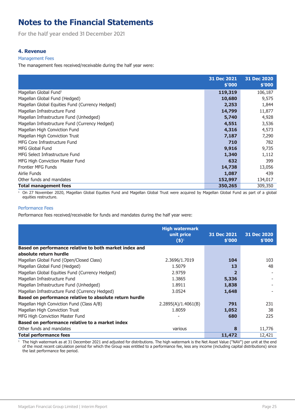<span id="page-24-0"></span>**For the half year ended 31 December 2021**

### **4. Revenue**

#### Management Fees

The management fees received/receivable during the half year were:

|                                                 | 31 Dec 2021<br>\$'000 | 31 Dec 2020<br>\$'000 |
|-------------------------------------------------|-----------------------|-----------------------|
| Magellan Global Fund <sup>1</sup>               | 119,319               | 106,187               |
| Magellan Global Fund (Hedged)                   | 10,680                | 9,575                 |
| Magellan Global Equities Fund (Currency Hedged) | 2,253                 | 1,844                 |
| Magellan Infrastructure Fund                    | 14,799                | 11,877                |
| Magellan Infrastructure Fund (Unhedged)         | 5,740                 | 4,928                 |
| Magellan Infrastructure Fund (Currency Hedged)  | 4,551                 | 3,536                 |
| Magellan High Conviction Fund                   | 4,316                 | 4,573                 |
| Magellan High Conviction Trust                  | 7,187                 | 7,290                 |
| MFG Core Infrastructure Fund                    | 710                   | 782                   |
| MFG Global Fund                                 | 9,916                 | 9,735                 |
| MFG Select Infrastructure Fund                  | 1,340                 | 1,112                 |
| MFG High Conviction Master Fund                 | 632                   | 399                   |
| <b>Frontier MFG Funds</b>                       | 14,738                | 13,056                |
| Airlie Funds                                    | 1,087                 | 439                   |
| Other funds and mandates                        | 152,997               | 134,017               |
| <b>Total management fees</b>                    | 350,265               | 309,350               |

<sup>1</sup> On 27 November 2020, Magellan Global Equities Fund and Magellan Global Trust were acquired by Magellan Global Fund as part of a global equities restructure.

#### Performance Fees

Performance fees received/receivable for funds and mandates during the half year were:

|                                                         | <b>High watermark</b><br>unit price | 31 Dec 2021 | 31 Dec 2020 |
|---------------------------------------------------------|-------------------------------------|-------------|-------------|
|                                                         | $(5)^1$                             | \$'000      | \$'000      |
| Based on performance relative to both market index and  |                                     |             |             |
| absolute return hurdle                                  |                                     |             |             |
| Magellan Global Fund (Open/Closed Class)                | 2.3696/1.7019                       | 104         | 103         |
| Magellan Global Fund (Hedged)                           | 1.5079                              | 13          | 48          |
| Magellan Global Equities Fund (Currency Hedged)         | 2.9759                              |             |             |
| Magellan Infrastructure Fund                            | 1.3865                              | 5,336       |             |
| Magellan Infrastructure Fund (Unhedged)                 | 1.8911                              | 1,838       |             |
| Magellan Infrastructure Fund (Currency Hedged)          | 3.0524                              | 1,648       |             |
| Based on performance relative to absolute return hurdle |                                     |             |             |
| Magellan High Conviction Fund (Class A/B)               | 2.2895(A)/1.4061(B)                 | 791         | 231         |
| Magellan High Conviction Trust                          | 1.8059                              | 1,052       | 38          |
| MFG High Conviction Master Fund                         |                                     | 680         | 225         |
| Based on performance relative to a market index         |                                     |             |             |
| Other funds and mandates                                | various                             | 8           | 11,776      |
| <b>Total performance fees</b>                           |                                     | 11,472      | 12,421      |

 $^1$  The high watermark as at 31 December 2021 and adjusted for distributions. The high watermark is the Net Asset Value ("NAV") per unit at the end of the most recent calculation period for which the Group was entitled to a performance fee, less any income (including capital distributions) since the last performance fee period.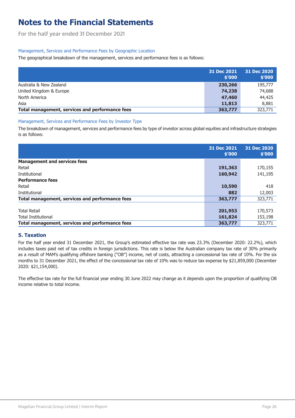<span id="page-25-0"></span>**For the half year ended 31 December 2021**

### Management, Services and Performance Fees by Geographic Location

The geographical breakdown of the management, services and performance fees is as follows:

|                                                 | 31 Dec 2021<br>\$'000 | 31 Dec 2020<br>\$'000 |
|-------------------------------------------------|-----------------------|-----------------------|
| Australia & New Zealand                         | 230,266               | 195,777               |
| United Kingdom & Europe                         | 74,238                | 74,688                |
| North America                                   | 47,460                | 44,425                |
| Asia                                            | 11,813                | 8,881                 |
| Total management, services and performance fees | 363,777               | 323,771               |

### Management, Services and Performance Fees by Investor Type

The breakdown of management, services and performance fees by type of investor across global equities and infrastructure strategies is as follows:

|                                                 | 31 Dec 2021<br>\$'000 | 31 Dec 2020<br>\$'000 |
|-------------------------------------------------|-----------------------|-----------------------|
| <b>Management and services fees</b>             |                       |                       |
| Retail                                          | 191,363               | 170,155               |
| Institutional                                   | 160,942               | 141,195               |
| <b>Performance fees</b>                         |                       |                       |
| Retail                                          | 10,590                | 418                   |
| Institutional                                   | 882                   | 12,003                |
| Total management, services and performance fees | 363,777               | 323,771               |
|                                                 |                       |                       |
| <b>Total Retail</b>                             | 201,953               | 170,573               |
| <b>Total Institutional</b>                      | 161,824               | 153,198               |
| Total management, services and performance fees | 363,777               | 323,771               |

### **5. Taxation**

For the half year ended 31 December 2021, the Group's estimated effective tax rate was 23.3% (December 2020: 22.2%), which includes taxes paid net of tax credits in foreign jurisdictions. This rate is below the Australian company tax rate of 30% primarily as a result of MAM's qualifying offshore banking ("OB") income, net of costs, attracting a concessional tax rate of 10%. For the six months to 31 December 2021, the effect of the concessional tax rate of 10% was to reduce tax expense by \$21,859,000 (December 2020: \$21,154,000).

The effective tax rate for the full financial year ending 30 June 2022 may change as it depends upon the proportion of qualifying OB income relative to total income.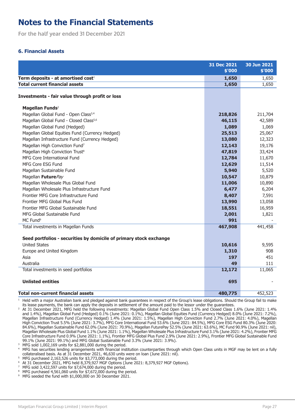<span id="page-26-0"></span>**For the half year ended 31 December 2021**

### **6. Financial Assets**

|                                                                    | 31 Dec 2021<br>\$'000 | 30 Jun 2021<br>\$'000 |
|--------------------------------------------------------------------|-----------------------|-----------------------|
| Term deposits - at amortised cost <sup>1</sup>                     | 1,650                 | 1,650                 |
| <b>Total current financial assets</b>                              | 1,650                 | 1,650                 |
|                                                                    |                       |                       |
| Investments - fair value through profit or loss                    |                       |                       |
| Magellan Funds <sup>2</sup>                                        |                       |                       |
| Magellan Global Fund - Open Class <sup>3,4</sup>                   | 218,826               | 211,704               |
| Magellan Global Fund - Closed Class <sup>5,6</sup>                 | 46,115                | 42,589                |
| Magellan Global Fund (Hedged)                                      | 1,089                 | 1,069                 |
| Magellan Global Equities Fund (Currency Hedged)                    | 25,513                | 25,067                |
| Magellan Infrastructure Fund (Currency Hedged)                     | 13,080                | 12,323                |
| Magellan High Conviction Fund <sup>7</sup>                         | 12,143                | 19,176                |
| Magellan High Conviction Trust <sup>8</sup>                        | 47,819                | 33,424                |
| MFG Core International Fund                                        | 12,784                | 11,670                |
| MFG Core ESG Fund                                                  | 12,629                | 11,514                |
| Magellan Sustainable Fund                                          | 5,940                 | 5,520                 |
| Magellan FuturePay                                                 | 10,547                | 10,879                |
| Magellan Wholesale Plus Global Fund                                | 11,006                | 10,890                |
| Magellan Wholesale Plus Infrastructure Fund                        | 6,477                 | 6,204                 |
| Frontier MFG Core Infrastructure Fund                              | 8,407                 | 7,591                 |
| Frontier MFG Global Plus Fund                                      | 13,990                | 13,058                |
| Frontier MFG Global Sustainable Fund                               | 18,551                | 16,959                |
| MFG Global Sustainable Fund                                        | 2,001                 | 1,821                 |
| MC Fund <sup>9</sup>                                               | 991                   |                       |
| Total investments in Magellan Funds                                | 467,908               | 441,458               |
|                                                                    |                       |                       |
| Seed portfolios - securities by domicile of primary stock exchange |                       |                       |
| <b>United States</b>                                               | 10,616                | 9,595                 |
| Europe and United Kingdom                                          | 1,310                 | 908                   |
| Asia                                                               | 197                   | 451                   |
| Australia                                                          | 49                    | 111                   |
| Total investments in seed portfolios                               | 12,172                | 11,065                |
| <b>Unlisted entities</b>                                           | 695                   |                       |
| <b>Total non-current financial assets</b>                          | 480,775               | 452,523               |
|                                                                    |                       |                       |

<sup>1</sup> Held with a major Australian bank and pledged against bank guarantees in respect of the Group's lease obligations. Should the Group fail to make its lease payments, the bank can apply the deposits in settlement of the amount paid to the lessor under the guarantees.

<sup>2</sup> At 31 December 2021, MFG held the following investments: Magellan Global Fund Open Class 1.5% and Closed Class 1.6% (June 2021: 1.4% and 1.4%), Magellan Global Fund (Hedged) 0.1% (June 2021: 0.1%), Magellan Global Equities Fund (Currency Hedged) 8.0% (June 2021: 7.2%), Magellan Infrastructure Fund (Currency Hedged) 1.4% (June 2021: 1.5%), Magellan High Conviction Fund 2.7% (June 2021: 4.0%), Magellan High Conviction Trust 5.5% (June 2021: 3.7%), MFG Core International Fund 53.6% (June 2021: 84.5%), MFG Core ESG Fund 80.3% (June 2020: 84.6%), Magellan Sustainable Fund 62.0% (June 2021: 70.9%), Magellan FuturePay 52.5% (June 2021: 63.6%), MC Fund 90.9% (June 2021: nil), Magellan Wholesale Plus Global Fund 1.1% (June 2021: 1.1%), Magellan Wholesale Plus Infrastructure Fund 3.1% (June 2021: 4.2%), Frontier MFG Core Infrastructure Fund 0.9% (June 2021: 1.1%), Frontier MFG Global Plus Fund 2.9% (June 2021: 2.9%), Frontier MFG Global Sustainable Fund 99.1% (June 2021: 99.1%) and MFG Global Sustainable Fund 3.3% (June 2021: 3.9%).

MFG sold  $1,002,169$  units for \$2,881,000 during the period.

<sup>4</sup> MFG has securities lending arrangements with financial institution counterparties through which Open Class units in MGF may be lent on a fully collateralised basis. As at 31 December 2021, 46,630 units were on loan (June 2021: nil).

<sup>5</sup> MFG purchased 2,163,526 units for \$3,773,000 during the period.

<sup>6</sup> At 31 December 2021, MFG held 8,379,927 MGF Options (June 2021: 8,379,927 MGF Options).

 $7$  MFG sold 3,422,597 units for \$7,674,000 during the period.

<sup>8</sup> MFG purchased 4,561,060 units for \$7,672,000 during the period.

MFG seeded the fund with \$1,000,000 on 30 December 2021.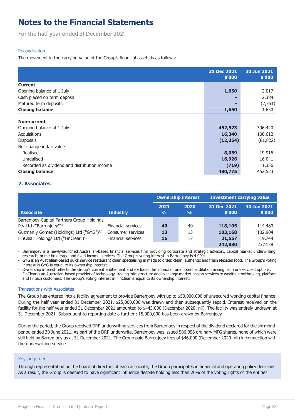<span id="page-27-0"></span>**For the half year ended 31 December 2021**

### Reconciliation

The movement in the carrying value of the Group's financial assets is as follows:

|                                              | 31 Dec 2021<br>\$'000 | 30 Jun 2021<br>\$'000 |
|----------------------------------------------|-----------------------|-----------------------|
| <b>Current</b>                               |                       |                       |
| Opening balance at 1 July                    | 1,650                 | 2,017                 |
| Cash placed on term deposit                  |                       | 2,384                 |
| Matured term deposits                        |                       | (2,751)               |
| <b>Closing balance</b>                       | 1,650                 | 1,650                 |
| Non-current                                  |                       |                       |
| Opening balance at 1 July                    | 452,523               | 396,420               |
| Acquisitions                                 | 16,340                | 100,612               |
| <b>Disposals</b>                             | (12, 354)             | (81, 822)             |
| Net change in fair value                     |                       |                       |
| Realised                                     | 8,059                 | 19,916                |
| Unrealised                                   | 16,926                | 16,041                |
| Recorded as dividend and distribution income | (719)                 | 1,356                 |
| <b>Closing balance</b>                       | 480,775               | 452,523               |

### **7. Associates**

|                                                      |                           | <b>Ownership interest</b> |                       | <b>Investment carrying value</b> |                       |  |
|------------------------------------------------------|---------------------------|---------------------------|-----------------------|----------------------------------|-----------------------|--|
| <b>Associate</b>                                     | <b>Industry</b>           | 2021<br>$\frac{0}{0}$     | 2020<br>$\frac{0}{0}$ | 31 Dec 2021<br>\$'000            | 30 Jun 2021<br>\$'000 |  |
| Barrenjoey Capital Partners Group Holdings           |                           |                           |                       |                                  |                       |  |
| Pty Ltd ("Barrenjoey") <sup>1</sup>                  | <b>Financial services</b> | 40                        | 40                    | 118,105                          | 114,480               |  |
| Guzman y Gomez (Holdings) Ltd ("GYG") <sup>2,3</sup> | Consumer services         | 13                        | 13                    | 103,168                          | 102,904               |  |
| FinClear Holdings Ltd ("FinClear") <sup>4,3</sup>    | <b>Financial services</b> | 16                        | 17                    | 21,557                           | 19,744                |  |
|                                                      |                           |                           |                       | 242,830                          | 237,128               |  |

<sup>1</sup> Barrenjoey is a newly-launched Australian-based financial services firm providing corporate and strategic advisory, capital market underwriting, research, prime brokerage and fixed income services. The Group's voting interest in Barrenjoey is 4.99%.

<sup>2</sup> GYG is an Australian-based quick service restaurant chain specialising in made to order, clean, authentic and fresh Mexican food. The Group's voting interest in GYG is equal to its ownership interest.

<sup>3</sup> Ownership interest reflects the Group's current entitlement and excludes the impact of any potential dilution arising from unexercised options. <sup>4</sup> FinClear is an Australian-based provider of technology, trading infrastructure and exchange market-access services to wealth, stockbroking, platform and fintech customers. The Group's voting interest in FinClear is equal to its ownership interest.

#### Transactions with Associates

The Group has entered into a facility agreement to provide Barrenjoey with up to \$50,000,000 of unsecured working capital finance. During the half year ended 31 December 2021, \$25,000,000 was drawn and then subsequently repaid. Interest received on the facility for the half year ended 31 December 2021 amounted to \$443,000 (December 2020: nil). The facility was entirely undrawn at 31 December 2021. Subsequent to reporting date a further \$15,000,000 has been drawn by Barrenjoey.

During the period, the Group received DRP underwriting services from Barrenjoey in respect of the dividend declared for the six month period ended 30 June 2021. As part of the DRP underwrite, Barrenjoey was issued 586,056 ordinary MFG shares, none of which were still held by Barrenjoey as at 31 December 2021. The Group paid Barrenjoey fees of \$46,000 (December 2020: nil) in connection with the underwriting service.

#### Key judgement

Through representation on the board of directors of each associate, the Group participates in financial and operating policy decisions. As a result, the Group is deemed to have significant influence despite holding less than 20% of the voting rights of the entities.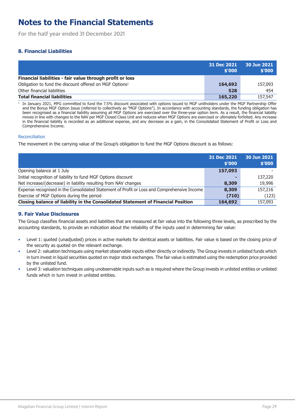<span id="page-28-0"></span>**For the half year ended 31 December 2021**

### **8. Financial Liabilities**

|                                                                     | 31 Dec 2021<br>\$'000 | 30 Jun 2021<br>\$'000 |
|---------------------------------------------------------------------|-----------------------|-----------------------|
| Financial liabilities - fair value through profit or loss           |                       |                       |
| Obligation to fund the discount offered on MGF Options <sup>1</sup> | 164,692               | 157,093               |
| Other financial liabilities                                         | 528                   | 454                   |
| <b>Total financial liabilities</b>                                  | 165,220               | 157,547               |

1 In January 2021, MFG committed to fund the 7.5% discount associated with options issued to MGF unitholders under the MGF Partnership Offer and the Bonus MGF Option Issue (referred to collectively as "MGF Options"). In accordance with accounting standards, the funding obligation has been recognised as a financial liability assuming all MGF Options are exercised over the three-year option term. As a result, the financial liability moves in line with changes to the NAV per MGF Closed Class Unit and reduces when MGF Options are exercised or ultimately forfeited. Any increase in the financial liability is recorded as an additional expense, and any decrease as a gain, in the Consolidated Statement of Profit or Loss and Comprehensive Income.

#### Reconciliation

The movement in the carrying value of the Group's obligation to fund the MGF Options discount is as follows:

|                                                                                             | 31 Dec 2021<br>\$'000 | 30 Jun 2021<br>\$'000 |
|---------------------------------------------------------------------------------------------|-----------------------|-----------------------|
| Opening balance at 1 July                                                                   | 157,093               |                       |
| Initial recognition of liability to fund MGF Options discount                               |                       | 137,220               |
| Net increase/(decrease) in liability resulting from NAV changes                             | 8,309                 | 19,996                |
| Expense recognised in the Consolidated Statement of Profit or Loss and Comprehensive Income | 8,309                 | 157,216               |
| Exercise of MGF Options during the period                                                   | (710)                 | (123)                 |
| Closing balance of liability in the Consolidated Statement of Financial Position            | 164,692               | 157,093               |

### **9. Fair Value Disclosures**

The Group classifies financial assets and liabilities that are measured at fair value into the following three levels, as prescribed by the accounting standards, to provide an indication about the reliability of the inputs used in determining fair value:

- Level 1: quoted (unadjusted) prices in active markets for identical assets or liabilities. Fair value is based on the closing price of the security as quoted on the relevant exchange.
- Level 2: valuation techniques using market observable inputs either directly or indirectly. The Group invests in unlisted funds which in turn invest in liquid securities quoted on major stock exchanges. The fair value is estimated using the redemption price provided by the unlisted fund.
- Level 3: valuation techniques using unobservable inputs such as is required where the Group invests in unlisted entities or unlisted funds which in turn invest in unlisted entities.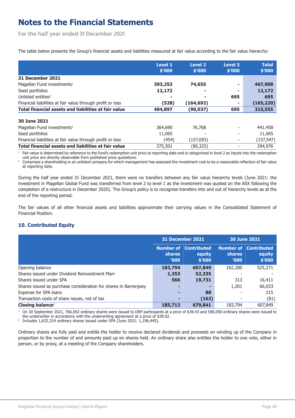<span id="page-29-0"></span>**For the half year ended 31 December 2021**

The table below presents the Group's financial assets and liabilities measured at fair value according to the fair value hierarchy:

|                                                            | <b>Level 1</b> | <b>Level 2</b> | Level 3 | <b>Total</b> |
|------------------------------------------------------------|----------------|----------------|---------|--------------|
|                                                            | \$'000         | \$'000         | \$'000  | \$'000       |
| 31 December 2021                                           |                |                |         |              |
| Magellan Fund investments <sup>1</sup>                     | 393,253        | 74,655         |         | 467,908      |
| Seed portfolios                                            | 12,172         |                |         | 12,172       |
| Unlisted entities <sup>2</sup>                             |                |                | 695     | 695          |
| Financial liabilities at fair value through profit or loss | (528)          | (164,692)      |         | (165, 220)   |
| Total financial assets and liabilities at fair value       | 404,897        | (90,037)       | 695     | 315,555      |
| 30 June 2021                                               |                |                |         |              |
| Magellan Fund investments <sup>1</sup>                     | 364,690        | 76,768         |         | 441,458      |
| Seed portfolios                                            | 11,065         |                |         | 11,065       |
| Financial liabilities at fair value through profit or loss | (454)          | (157,093)      |         | (157, 547)   |
| Total financial assets and liabilities at fair value       | 375,301        | (80,325)       |         | 294,976      |

<sup>1</sup> Fair value is determined by reference to the fund's redemption unit price at reporting date and is categorised in level 2 as inputs into the redemption unit price are directly observable from published price quotations.

<sup>2</sup> Comprises a shareholding in an unlisted company for which management has assessed the investment cost to be a reasonable reflection of fair value at reporting date.

During the half year ended 31 December 2021, there were no transfers between any fair value hierarchy levels (June 2021: the investment in Magellan Global Fund was transferred from level 2 to level 1 as the investment was quoted on the ASX following the completion of a restructure in December 2020). The Group's policy is to recognise transfers into and out of hierarchy levels as at the end of the reporting period.

The fair values of all other financial assets and liabilities approximate their carrying values in the Consolidated Statement of Financial Position.

### **10. Contributed Equity**

|                                                                  |                                     | 31 December 2021                       | 30 June 2021             |                                                  |  |
|------------------------------------------------------------------|-------------------------------------|----------------------------------------|--------------------------|--------------------------------------------------|--|
|                                                                  | Number of<br><b>shares</b><br>'000' | <b>Contributed</b><br>equity<br>\$'000 | <b>shares</b><br>'000'   | <b>Number of Contributed</b><br>equity<br>\$'000 |  |
| Opening balance                                                  | 183,794                             | 607,849                                | 182,280                  | 525,271                                          |  |
| Shares issued under Dividend Reinvestment Plan <sup>1</sup>      | 1,353                               | 52,335                                 |                          |                                                  |  |
| Shares issued under SPA                                          | 566                                 | 19,731                                 | 313                      | 16,411                                           |  |
| Shares issued as purchase consideration for shares in Barrenjoey |                                     |                                        | 1,201                    | 66,033                                           |  |
| Expense for SPA loans                                            | н                                   | 88                                     |                          | 215                                              |  |
| Transaction costs of share issues, net of tax                    | ٠                                   | (162)                                  | $\overline{\phantom{a}}$ | (81)                                             |  |
| Closing balance <sup>2</sup>                                     | 185,713                             | 679,841                                | 183,794                  | 607,849                                          |  |

<sup>1</sup> On 30 September 2021, 766,692 ordinary shares were issued to DRP participants at a price of \$38.43 and 586,056 ordinary shares were issued to the underwriter in accordance with the underwriting agreement at a price of \$39.02.

2 Includes 1,632,324 ordinary shares issued under SPA (June 2021: 1,196,445).

Ordinary shares are fully paid and entitle the holder to receive declared dividends and proceeds on winding up of the Company in proportion to the number of and amounts paid up on shares held. An ordinary share also entitles the holder to one vote, either in person, or by proxy, at a meeting of the Company shareholders.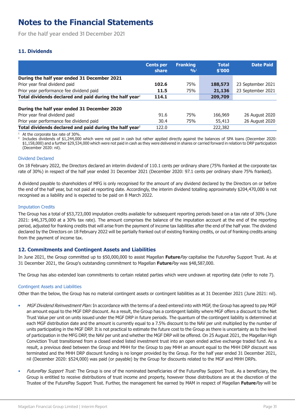<span id="page-30-0"></span>**For the half year ended 31 December 2021**

### **11. Dividends**

|                                                                     | <b>Cents per</b><br>share | <b>Franking</b><br>9/6 <sup>1</sup> | <b>Total</b><br>\$'000 | <b>Date Paid</b>  |
|---------------------------------------------------------------------|---------------------------|-------------------------------------|------------------------|-------------------|
| During the half year ended 31 December 2021                         |                           |                                     |                        |                   |
| Prior year final dividend paid                                      | 102.6                     | 75%                                 | 188,573                | 23 September 2021 |
| Prior year performance fee dividend paid                            | 11.5                      | 75%                                 | 21,136                 | 23 September 2021 |
| Total dividends declared and paid during the half year <sup>2</sup> | 114.1                     |                                     | 209,709                |                   |
| During the half year ended 31 December 2020                         |                           |                                     |                        |                   |
| Prior year final dividend paid                                      | 91.6                      | 75%                                 | 166,969                | 26 August 2020    |
| Prior year performance fee dividend paid                            | 30.4                      | 75%                                 | 55,413                 | 26 August 2020    |
| Total dividends declared and paid during the half year <sup>2</sup> | 122.0                     |                                     | 222,382                |                   |

At the corporate tax rate of 30%.

2 Includes dividends of \$1,244,000 which were not paid in cash but rather applied directly against the balances of SPA loans (December 2020: \$1,158,000) and a further \$29,534,000 which were not paid in cash as they were delivered in shares or carried forward in relation to DRP participation (December 2020: nil).

#### Dividend Declared

On 18 February 2022, the Directors declared an interim dividend of 110.1 cents per ordinary share (75% franked at the corporate tax rate of 30%) in respect of the half year ended 31 December 2021 (December 2020: 97.1 cents per ordinary share 75% franked).

A dividend payable to shareholders of MFG is only recognised for the amount of any dividend declared by the Directors on or before the end of the half year, but not paid at reporting date. Accordingly, the interim dividend totalling approximately \$204,470,000 is not recognised as a liability and is expected to be paid on 8 March 2022.

#### Imputation Credits

The Group has a total of \$53,723,000 imputation credits available for subsequent reporting periods based on a tax rate of 30% (June 2021: \$46,375,000 at a 30% tax rate). The amount comprises the balance of the imputation account at the end of the reporting period, adjusted for franking credits that will arise from the payment of income tax liabilities after the end of the half year. The dividend declared by the Directors on 18 February 2022 will be partially franked out of existing franking credits, or out of franking credits arising from the payment of income tax.

### **12. Commitments and Contingent Assets and Liabilities**

In June 2021, the Group committed up to \$50,000,000 to assist Magellan **Future**Pay capitalise the FuturePay Support Trust. As at 31 December 2021, the Group's outstanding commitment to Magellan **Future**Pay was \$48,587,000.

The Group has also extended loan commitments to certain related parties which were undrawn at reporting date (refer to note [7](#page-27-0)).

#### Contingent Assets and Liabilities

Other than the below, the Group has no material contingent assets or contingent liabilities as at 31 December 2021 (June 2021: nil).

- MGF Dividend Reinvestment Plan: In accordance with the terms of a deed entered into with MGF, the Group has agreed to pay MGF an amount equal to the MGF DRP discount. As a result, the Group has a contingent liability where MGF offers a discount to the Net Trust Value per unit on units issued under the MGF DRP in future periods. The quantum of the contingent liability is determined at each MGF distribution date and the amount is currently equal to a 7.5% discount to the NAV per unit multiplied by the number of units participating in the MGF DRP. It is not practical to estimate the future cost to the Group as there is uncertainty as to the level of participation in the MFG DRP, the NAV per unit and whether the MGF DRP will be offered. On 25 August 2021, the Magellan High Conviction Trust transitioned from a closed ended listed investment trust into an open ended active exchange traded fund. As a result, a previous deed between the Group and MHH for the Group to pay MHH an amount equal to the MHH DRP discount was terminated and the MHH DRP discount funding is no longer provided by the Group. For the half year ended 31 December 2021, nil (December 2020: \$524,000) was paid (or payable) by the Group for discounts related to the MGF and MHH DRPs.
- FuturePay Support Trust: The Group is one of the nominated beneficiaries of the FuturePay Support Trust. As a beneficiary, the Group is entitled to receive distributions of trust income and property, however those distributions are at the discretion of the Trustee of the FuturePay Support Trust. Further, the management fee earned by MAM in respect of Magellan **Future**Pay will be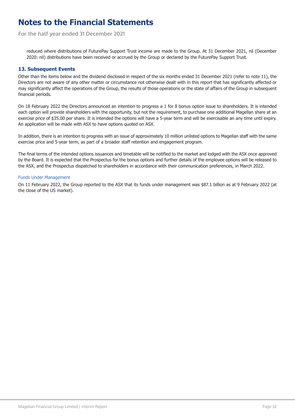<span id="page-31-0"></span>**For the half year ended 31 December 2021**

reduced where distributions of FuturePay Support Trust income are made to the Group. At 31 December 2021, nil (December 2020: nil) distributions have been received or accrued by the Group or declared by the FuturePay Support Trust.

#### **13. Subsequent Events**

Other than the items below and the dividend disclosed in respect of the six months ended 31 December 2021 (refer to note [11\)](#page-30-0), the Directors are not aware of any other matter or circumstance not otherwise dealt with in this report that has significantly affected or may significantly affect the operations of the Group, the results of those operations or the state of affairs of the Group in subsequent financial periods.

On 18 February 2022 the Directors announced an intention to progress a 1 for 8 bonus option issue to shareholders. It is intended each option will provide shareholders with the opportunity, but not the requirement, to purchase one additional Magellan share at an exercise price of \$35.00 per share. It is intended the options will have a 5-year term and will be exercisable an any time until expiry. An application will be made with ASX to have options quoted on ASX.

In addition, there is an intention to progress with an issue of approximately 10 million unlisted options to Magellan staff with the same exercise price and 5-year term, as part of a broader staff retention and engagement program.

The final terms of the intended options issuances and timetable will be notified to the market and lodged with the ASX once approved by the Board. It is expected that the Prospectus for the bonus options and further details of the employee options will be released to the ASX, and the Prospectus dispatched to shareholders in accordance with their communication preferences, in March 2022.

#### Funds Under Management

On 11 February 2022, the Group reported to the ASX that its funds under management was \$87.1 billion as at 9 February 2022 (at the close of the US market).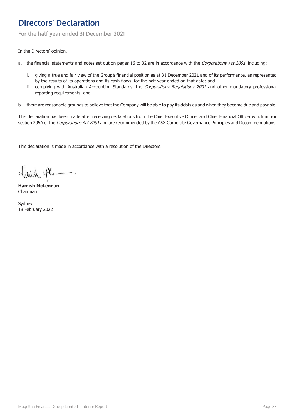# <span id="page-32-0"></span>**Directors' Declaration**

**For the half year ended 31 December 2021**

In the Directors' opinion,

- a. the financial statements and notes set out on pages [16](#page-15-0) to [32](#page-31-0) are in accordance with the Corporations Act 2001, including:
	- i. giving a true and fair view of the Group's financial position as at 31 December 2021 and of its performance, as represented by the results of its operations and its cash flows, for the half year ended on that date; and
	- ii. complying with Australian Accounting Standards, the Corporations Regulations 2001 and other mandatory professional reporting requirements; and
- b. there are reasonable grounds to believe that the Company will be able to pay its debts as and when they become due and payable.

This declaration has been made after receiving declarations from the Chief Executive Officer and Chief Financial Officer which mirror section 295A of the Corporations Act 2001 and are recommended by the ASX Corporate Governance Principles and Recommendations.

This declaration is made in accordance with a resolution of the Directors.

Hairsh plhe-

**Hamish McLennan** Chairman

Sydney 18 February 2022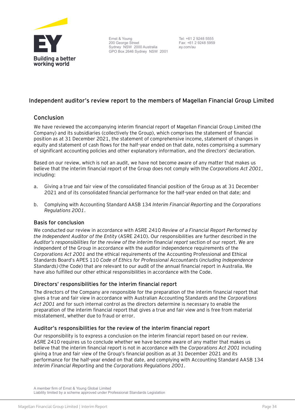<span id="page-33-0"></span>

Ernst & Young 200 George Street Sydney NSW 2000 Australia GPO Box 2646 Sydney NSW 2001

Tel: +61 2 9248 5555 Fax: +61 2 9248 5959 ey.com/au

### **Independent auditor's review report to the members of Magellan Financial Group Limited**

### **Conclusion**

We have reviewed the accompanying interim financial report of Magellan Financial Group Limited (the Company) and its subsidiaries (collectively the Group), which comprises the statement of financial position as at 31 December 2021, the statement of comprehensive income, statement of changes in equity and statement of cash flows for the half-year ended on that date, notes comprising a summary of significant accounting policies and other explanatory information, and the directors' declaration.

Based on our review, which is not an audit, we have not become aware of any matter that makes us believe that the interim financial report of the Group does not comply with the *Corporations Act 2001*, including:

- a. Giving a true and fair view of the consolidated financial position of the Group as at 31 December 2021 and of its consolidated financial performance for the half-year ended on that date; and
- b. Complying with Accounting Standard AASB 134 *Interim Financial Reporting* and the *Corporations Regulations 2001*.

### **Basis for conclusion**

We conducted our review in accordance with ASRE 2410 *Review of a Financial Report Performed by the Independent Auditor of the Entity* (ASRE 2410). Our responsibilities are further described in the *Auditor's responsibilities for the review of the interim financial report* section of our report. We are independent of the Group in accordance with the auditor independence requirements of the *Corporations Act 2001* and the ethical requirements of the Accounting Professional and Ethical Standards Board's APES 110 *Code of Ethics for Professional Accountants* (*including Independence Standards)* (the Code) that are relevant to our audit of the annual financial report in Australia. We have also fulfilled our other ethical responsibilities in accordance with the Code.

### **Directors' responsibilities for the interim financial report**

The directors of the Company are responsible for the preparation of the interim financial report that gives a true and fair view in accordance with Australian Accounting Standards and the *Corporations Act 2001* and for such internal control as the directors determine is necessary to enable the preparation of the interim financial report that gives a true and fair view and is free from material misstatement, whether due to fraud or error.

### **Auditor's responsibilities for the review of the interim financial report**

Our responsibility is to express a conclusion on the interim financial report based on our review. ASRE 2410 requires us to conclude whether we have become aware of any matter that makes us believe that the interim financial report is not in accordance with the *Corporations Act 2001* including giving a true and fair view of the Group's financial position as at 31 December 2021 and its performance for the half-year ended on that date, and complying with Accounting Standard AASB 134 *Interim Financial Reporting* and the *Corporations Regulations 2001*.

A member firm of Ernst & Young Global Limited Liability limited by a scheme approved under Professional Standards Legislation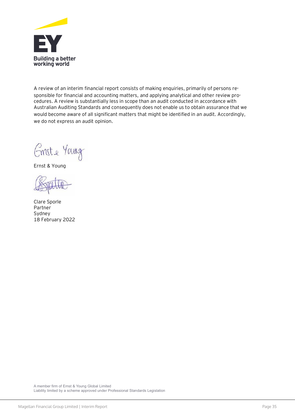

A review of an interim financial report consists of making enquiries, primarily of persons responsible for financial and accounting matters, and applying analytical and other review procedures. A review is substantially less in scope than an audit conducted in accordance with Australian Auditing Standards and consequently does not enable us to obtain assurance that we would become aware of all significant matters that might be identified in an audit. Accordingly, we do not express an audit opinion.

Emste Yang

Ernst & Young

Clare Sporle Partner Sydney 18 February 2022

A member firm of Ernst & Young Global Limited Liability limited by a scheme approved under Professional Standards Legislation